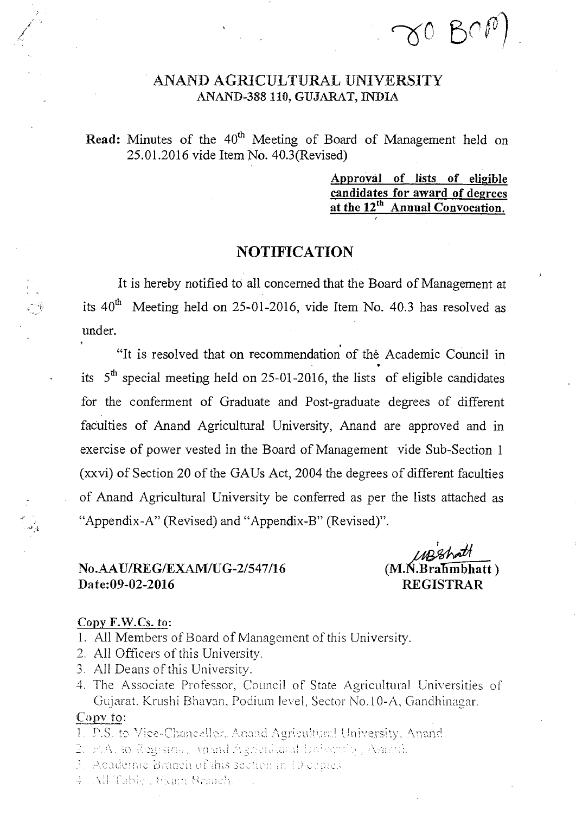## ANAND AGRICULTURAL UNIVERSITY ANAND-388 110, GUJARAT, INDIA

## Read: Minutes of the 40<sup>th</sup> Meeting of Board of Management held on 25.01.2016 vide Item No. 40.3(Revised)

Approval of lists of eligible candidates for award of degrees at the 12<sup>th</sup> Annual Convocation.

 $\gamma$ 0 BOP

## NOTIFICATION

It is hereby notified to all concerned that the Board of Management at its  $40^{th}$  Meeting held on 25-01-2016, vide Item No. 40.3 has resolved as under.

"It is resolved that on recommendation of the Academic Council in its  $5<sup>th</sup>$  special meeting held on 25-01-2016, the lists of eligible candidates for the conferment of Graduate and Post-graduate degrees of different faculties of Anand Agricultural University, Anand are approved and in exercise of power vested in the Board of Management vide Sub-Section 1 (xxvi) of Section 20 of the GAUs Act, 2004 the degrees of different faculties of Anand Agricultural University be conferred as per the lists attached as "Appendix-A" (Revised) and "Appendix-B" (Revised)".

## No.AAU/REG/EXAM/UG-2/547/16 (M..Bra in1 1—TIatt ) —  $Date:09-02-2016$

 $\frac{1}{2}$ 

### Copy F.W.Cs. to:

- 1. All Members of Board of Management of this University.
- 2. All Officers of this University.
- 3. All Deans of this University.
- 4. The Associate Professor, Council of State Agricultural Universities of Gujarat. Krushi Bhavan, Podium level, Sector No.10-A, Gandhinagar.

## Copy to:

- 1. P.S. to Vice-Chancellor, Anand Agricultural University, Anand.
- 2. F.A. to Registra, Anand Agricultural University, Americ.
- 3. Academic Branch of this section in 10 copies.
- 4 All Table , Exam Branch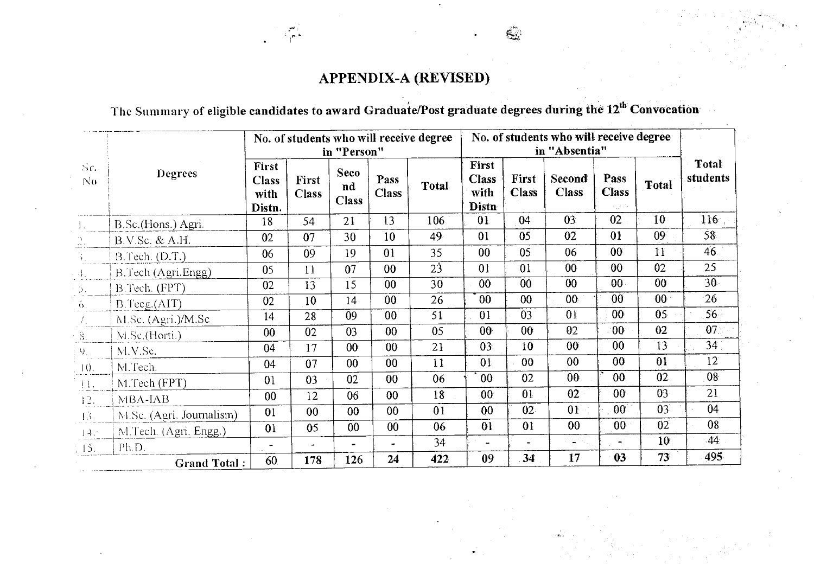## APPENDIX-A (REVISED)

The Summary of eligible candidates to award Graduate/Post graduate degrees during the 12<sup>th</sup> Convocation

|                             |                          | No. of students who will receive degree<br>in "Person" |                       |                            |                      | No. of students who will receive degree<br>in "Absentia" |                                               |                       |                                                               |                                  |                 |                   |
|-----------------------------|--------------------------|--------------------------------------------------------|-----------------------|----------------------------|----------------------|----------------------------------------------------------|-----------------------------------------------|-----------------------|---------------------------------------------------------------|----------------------------------|-----------------|-------------------|
| Sr.<br>N <sub>0</sub>       | Degrees                  | First<br><b>Class</b><br>with<br>Distn.                | First<br><b>Class</b> | Seco<br>nd<br><b>Class</b> | Pass<br><b>Class</b> | Total                                                    | <b>First</b><br><b>Class</b><br>with<br>Distn | First<br><b>Class</b> | Second<br><b>Class</b>                                        | Pass<br><b>Class</b><br>a jihara | <b>Total</b>    | Total<br>students |
| $\mathbf{1}_{+}$            | B.Sc.(Hons.) Agri.       | 18                                                     | 54                    | 21                         | 13                   | 106                                                      | 01                                            | 04                    | 03                                                            | 02                               | 10              | 116               |
| $\frac{1}{2}$ .             | B.V.Sc. & A.H.           | 02                                                     | 07                    | 30                         | 10                   | 49                                                       | 01                                            | 05                    | 02                                                            | 0 <sup>1</sup>                   | $09^\circ$      | 58.               |
| $\mathcal{V}_\mathrm{c}$    | B.Tech. (D.T.)           | 06                                                     | 09                    | 19                         | 01                   | 35                                                       | 00                                            | 05                    | 06                                                            | 00 <sub>1</sub>                  | 11              | 46                |
| $\langle A_{\rm L} \rangle$ | B.Tech (Agri.Engg)       | 05                                                     | 11                    | 07                         | 0 <sub>0</sub>       | $2\overline{3}$                                          | 01                                            | 01                    | 00 <sub>1</sub>                                               | 00 <sub>1</sub>                  | 02              | 25                |
| 5.                          | B.Tech. (FPT)            | 02                                                     | 13                    | 15                         | $00\,$               | 30                                                       | 00                                            | 00                    | $00\,$                                                        | 00 <sup>1</sup>                  | 00 <sub>o</sub> | $30 -$            |
| 6.                          | B.Teeg.(AIT)             | 02                                                     | 10                    | 14                         | 00 <sub>0</sub>      | 26                                                       | 00                                            | $00\,$                | 00 <sub>i</sub>                                               | 00                               | 00 <sup>°</sup> | 26                |
| $T_{\rm{sc}}$               | M.Sc. (Agri.)/M.Sc       | 14                                                     | 28                    | 09                         | 00                   | 51                                                       | 01                                            | 03                    | 0 <sub>1</sub>                                                | 00 <sub>1</sub>                  | $05 -$          | $56 -$            |
| 8.                          | M.Sc.(Horti.)            | 00                                                     | 02                    | 03                         | 00                   | 05                                                       | 00 <sub>1</sub>                               | 00 <sub>1</sub>       | 02                                                            | 00 <sub>1</sub>                  | 02              | 07.               |
| $Q_{\perp}$                 | M.V.Se.                  | 04                                                     | 17                    | 00                         | 00                   | 21                                                       | 03                                            | 10                    | 00                                                            | 00 <sub>0</sub>                  | 13              | 34 <sup>2</sup>   |
| 10.                         | M.Tech.                  | 04                                                     | 07                    | 00                         | 00                   | 11                                                       | 01                                            | 00                    | 00                                                            | 00 <sub>1</sub>                  | 01              | 12                |
| $\pm 1.$                    | M.Tech (FPT)             | 0 <sub>1</sub>                                         | 03                    | 02                         | 00                   | 06                                                       | 00                                            | 02                    | 00 <sub>1</sub>                                               | 00                               | 02              | 08                |
| 12.                         | MBA-IAB                  | 00                                                     | 12                    | 06                         | 00                   | 18                                                       | 00 <sub>1</sub>                               | 01                    | 02                                                            | 00 <sub>1</sub>                  | 03              | 21                |
| 13.                         | M.Sc. (Agri. Journalism) | 01                                                     | 00 <sub>1</sub>       | 00                         | 00 <sub>1</sub>      | 01                                                       | 00 <sub>1</sub>                               | 02 <sub>1</sub>       | 0 <sup>1</sup>                                                | 00 <sup>1</sup>                  | 03              | 04                |
| 44.5                        | M.Tech. (Agri. Engg.)    | 0 <sub>1</sub>                                         | 05                    | 00                         | 00                   | 06                                                       | 0 <sub>1</sub>                                | 01                    | 00 <sub>1</sub>                                               | 00 <sub>1</sub>                  | 02              | 08                |
| 15.                         | Ph.D.                    | $\overline{\phantom{a}}$                               | $\blacksquare$        | $\overline{\phantom{0}}$   |                      | 34                                                       | $\overline{\phantom{a}}$                      | $\tilde{\phantom{a}}$ | $\frac{1}{2}$ , $\frac{1}{2}$ , $\frac{1}{2}$ , $\frac{1}{2}$ | Ä.                               | 10              | 44.               |
|                             | <b>Grand Total:</b>      | 60                                                     | 178                   | 126                        | 24                   | 422                                                      | 09                                            | 34                    | 17                                                            | 03                               | 73              | 495               |

 $\epsilon$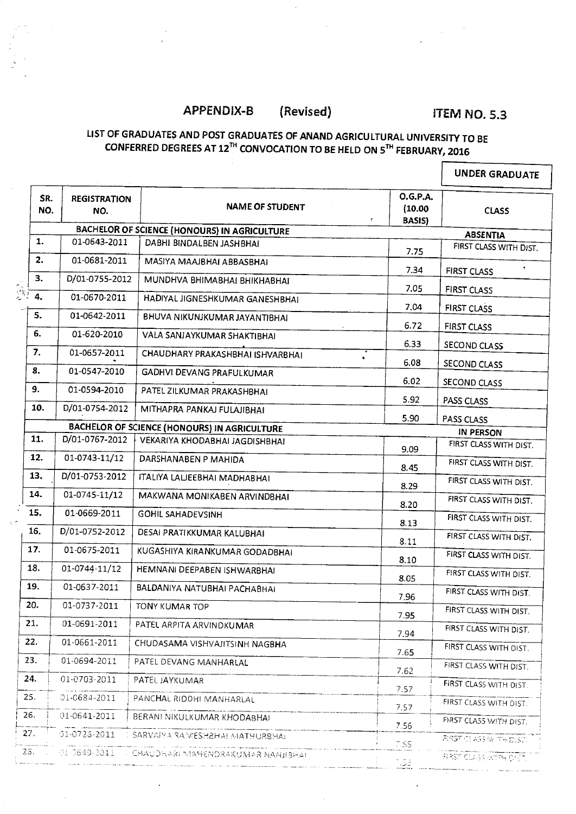## APPENDIX-B (Revised) ITEM NO. 5.3

 $\mathsf{r}$ 

#### **LIST OF GRADUATES AND POST GRADUATES OF ANAND AGRICULTURAL UNIVERSITY TO BE CONFERRED DEGREES AT 12 TH CONVOCATION TO BE HELD ON S <sup>T</sup>" FEBRUARY, 2016**

|            |                            |                                              |                                                          | <b>UNDER GRADUATE</b>         |
|------------|----------------------------|----------------------------------------------|----------------------------------------------------------|-------------------------------|
| SR.<br>NO. | <b>REGISTRATION</b><br>NO. | <b>NAME OF STUDENT</b>                       | <b>O.G.P.A.</b><br>(10.00)<br>$\pmb{r}$<br><b>BASIS)</b> | <b>CLASS</b>                  |
|            |                            | BACHELOR OF SCIENCE (HONOURS) IN AGRICULTURE |                                                          | <b>ABSENTIA</b>               |
| 1.         | 01-0643-2011               | DABHI BINDALBEN JASHBHAI                     | 7.75                                                     | FIRST CLASS WITH DIST.        |
| 2.         | 01-0681-2011               | MASIYA MAAJBHAI ABBASBHAI                    | 7.34                                                     | <b>FIRST CLASS</b>            |
| 3.         | D/01-0755-2012             | MUNDHVA BHIMABHAI BHIKHABHAI                 | 7.05                                                     |                               |
| 4.         | 01-0670-2011               | HADIYAL JIGNESHKUMAR GANESHBHAI              | 7.04                                                     | <b>FIRST CLASS</b>            |
| 5.         | 01-0642-2011               | BHUVA NIKUNJKUMAR JAYANTIBHAI                | 6.72                                                     | <b>FIRST CLASS</b>            |
| 6.         | 01-620-2010                | VALA SANJAYKUMAR SHAKTIBHAI                  |                                                          | <b>FIRST CLASS</b>            |
| 7.         | 01-0657-2011               | CHAUDHARY PRAKASHBHAI ISHVARBHAI             | 6.33                                                     | SECOND CLASS                  |
| 8.         | 01-0547-2010               | GADHVI DEVANG PRAFULKUMAR                    | 6.08                                                     | SECOND CLASS                  |
| 9.         | 01-0594-2010               | PATEL ZILKUMAR PRAKASHBHAI                   | 6.02                                                     | SECOND CLASS                  |
| 10.        | D/01-0754-2012             | MITHAPRA PANKAJ FULAJIBHAI                   | 5.92                                                     | PASS CLASS                    |
|            |                            | BACHELOR OF SCIENCE (HONOURS) IN AGRICULTURE | 5.90                                                     | PASS CLASS                    |
| 11.        | D/01-0767-2012             | VEKARIYA KHODABHAI JAGDISHBHAI               |                                                          | <b>IN PERSON</b>              |
| 12.        | 01-0743-11/12              | DARSHANABEN P MAHIDA                         | 9.09                                                     | FIRST CLASS WITH DIST.        |
|            |                            |                                              | 8.45                                                     | FIRST CLASS WITH DIST.        |
| 13.        | D/01-0753-2012             | ITALIYA LALJEEBHAI MADHABHAI                 | 8.29                                                     | FIRST CLASS WITH DIST.        |
| 14.        | 01-0745-11/12              | MAKWANA MONIKABEN ARVINDBHAI                 | 8.20                                                     | FIRST CLASS WITH DIST.        |
| 15.        | 01-0669-2011               | <b>GOHIL SAHADEVSINH</b>                     | 8.13                                                     | FIRST CLASS WITH DIST.        |
| 16.        | D/01-0752-2012             | DESAI PRATIKKUMAR KALUBHAI                   | 8.11                                                     | FIRST CLASS WITH DIST.        |
| 17.        | 01-0675-2011               | KUGASHIYA KIRANKUMAR GODADBHAI               | 8.10                                                     | FIRST CLASS WITH DIST.        |
| 18.        | 01-0744-11/12              | HEMNANI DEEPABEN ISHWARBHAI                  | 8.05                                                     | FIRST CLASS WITH DIST.        |
| 19.        | 01-0637-2011               | BALDANIYA NATUBHAI PACHABHAI                 | 7.96                                                     | FIRST CLASS WITH DIST.        |
| 20.        | 01-0737-2011               | <b>TONY KUMAR TOP</b>                        | 7.95                                                     | FIRST CLASS WITH DIST.        |
| 21.        | 01-0691-2011               | PATEL ARPITA ARVINDKUMAR                     | 7.94                                                     | FIRST CLASS WITH DIST.        |
| 22.        | 01-0661-2011               | CHUDASAMA VISHVAJITSINH NAGBHA               | 7.65                                                     | FIRST CLASS WITH DIST.        |
| 23.        | 01-0694-2011               | PATEL DEVANG MANHARLAL                       | 7.62                                                     | FIRST CLASS WITH DIST.        |
| 24.        | 01-0703-2011               | PATEL JAYKUMAR                               | 7.57                                                     | FIRST CLASS WITH DIST.        |
| 25.        | 01-0684-2011               | PANCHAL RIDDHI MANHARLAL                     | 7.57                                                     | FIRST CLASS WITH DIST.        |
| 26.        | 01-0641-2011               | BERANI NIKULKUMAR KHODABHAI                  | 7.56                                                     | FIRST CLASS WITH DIST.        |
| 27.        | 01-0723-2011               | SARVAIYA RAWESHBHAI MATHURBHAI               | 7.55                                                     | <b>PIRST CLASS WITH DIST.</b> |
| 28.        | 01-0649-2011               | <b>CHAUDHARI MAHENDRAKUMAR NANHBHAI</b>      | $^\circ$ .53                                             | <b>BIRST CLASS WITH DIST.</b> |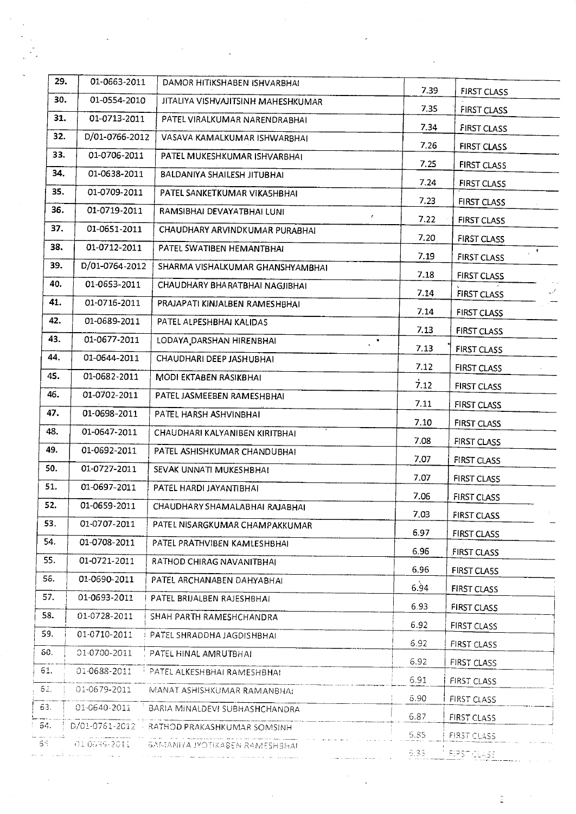| 29.         | 01-0663-2011                 | DAMOR HITIKSHABEN ISHVARBHAI                                               |                       |                                    |
|-------------|------------------------------|----------------------------------------------------------------------------|-----------------------|------------------------------------|
| 30.         | 01-0554-2010                 | JITALIYA VISHVAJITSINH MAHESHKUMAR                                         | 7.39                  | <b>FIRST CLASS</b>                 |
| 31.         | 01-0713-2011                 | PATEL VIRALKUMAR NARENDRABHAI                                              | 7.35                  | <b>FIRST CLASS</b>                 |
| 32.         | D/01-0766-2012               | VASAVA KAMALKUMAR ISHWARBHAI                                               | 7.34                  | <b>FIRST CLASS</b>                 |
| 33.         | 01-0706-2011                 | PATEL MUKESHKUMAR ISHVARBHAI                                               | 7.26                  | <b>FIRST CLASS</b>                 |
| 34.         | 01-0638-2011                 | BALDANIYA SHAILESH JITUBHAI                                                | 7.25                  | <b>FIRST CLASS</b>                 |
| 35.         | 01-0709-2011                 | PATEL SANKETKUMAR VIKASHBHAI                                               | 7.24                  | <b>FIRST CLASS</b>                 |
| 36.         | 01-0719-2011                 | RAMSIBHAI DEVAYATBHAI LUNI                                                 | 7.23                  | FIRST CLASS                        |
| 37.         | 01-0651-2011                 | CHAUDHARY ARVINDKUMAR PURABHAI                                             | 7.22                  | <b>FIRST CLASS</b>                 |
| 38.         | 01-0712-2011                 | PATEL SWATIBEN HEMANTBHAI                                                  | 7.20                  | <b>FIRST CLASS</b>                 |
| 39.         | D/01-0764-2012               | SHARMA VISHALKUMAR GHANSHYAMBHAI                                           | 7.19                  | $\mathbf{q}$<br><b>FIRST CLASS</b> |
| 40.         | 01-0653-2011                 | CHAUDHARY BHARATBHAI NAGJIBHAI                                             | 7.18                  | <b>FIRST CLASS</b>                 |
| 41.         | 01-0716-2011                 | PRAJAPATI KINJALBEN RAMESHBHAI                                             | 7.14                  | لريد<br>FIRST CLASS                |
| 42.         | 01-0689-2011                 | PATEL ALPESHBHAI KALIDAS                                                   | 7.14                  | <b>FIRST CLASS</b>                 |
| 43.         | 01-0677-2011                 | LODAYA DARSHAN HIRENBHAI                                                   | 7.13                  | <b>FIRST CLASS</b>                 |
| 44.         | 01-0644-2011                 | CHAUDHARI DEEP JASHUBHAI                                                   | $\mathcal{L}$<br>7.13 | FIRST CLASS                        |
| 45.         | 01-0682-2011                 | MODI EKTABEN RASIKBHAI                                                     | 7.12                  | <b>FIRST CLASS</b>                 |
| 46.         | 01-0702-2011                 | PATEL JASMEEBEN RAMESHBHAI                                                 | 7.12                  | <b>FIRST CLASS</b>                 |
| 47.         | 01-0698-2011                 | PATEL HARSH ASHVINBHAI                                                     | 7.11                  | <b>FIRST CLASS</b>                 |
| 48.         | 01-0647-2011                 | CHAUDHARI KALYANIBEN KIRITBHAI                                             | 7.10                  | <b>FIRST CLASS</b>                 |
| 49.         | 01-0692-2011                 |                                                                            | 7.08                  | FIRST CLASS                        |
| 50.         | 01-0727-2011                 | PATEL ASHISHKUMAR CHANDUBHAI<br>SEVAK UNNATI MUKESHBHAI                    | 7.07                  | FIRST CLASS                        |
| 51.         | 01-0697-2011                 |                                                                            | 7.07                  | <b>FIRST CLASS</b>                 |
| 52.         | 01-0659-2011                 | PATEL HARDI JAYANTIBHAI                                                    | 7.06                  | FIRST CLASS                        |
| 53.         | 01-0707-2011                 | CHAUDHARY SHAMALABHAI RAJABHAI                                             | 7.03                  | FIRST CLASS                        |
| 54.         | 01-0708-2011                 | PATEL NISARGKUMAR CHAMPAKKUMAR                                             | 6.97                  | FIRST CLASS                        |
| 55.         | 01-0721-2011                 | PATEL PRATHVIBEN KAMLESHBHAI<br>RATHOD CHIRAG NAVANITBHAI                  | 6.96                  | <b>FIRST CLASS</b>                 |
| 55.         | 01-0690-2011                 |                                                                            | 6.96                  | FIRST CLASS                        |
| 57.         | 01-0693-2011                 | PATEL ARCHANABEN DAHYABHAI                                                 | 6.94                  | <b>FIRST CLASS</b>                 |
| 58.         | 01-0728-2011                 | PATEL BRIJALBEN RAJESHBHAI                                                 | 6.93                  | FIRST CLASS                        |
| 59.         | 01-0710-2011                 | SHAH PARTH RAMESHCHANDRA                                                   | 6.92                  | <b>FIRST CLASS</b>                 |
| 60.         |                              | PATEL SHRADDHA JAGDISHBHAI                                                 | 6.92                  | FIRST CLASS                        |
| 51.         | 01-0700-2011<br>01-0688-2011 | PATEL HINAL AMRUTBHAI                                                      | 6.92                  | FIRST CLASS                        |
| 52.         | 01-0679-2011                 | PATEL ALKESHBHAI RAMESHBHAI                                                | 6.91                  | FIRST CLASS                        |
| 63.         |                              | MANAT ASHISHKUMAR RAMANBHA!                                                | 6.90                  | FIRST CLASS                        |
| 54.         | 01-0640-2011                 | BARIA MINALDEVI SUBHASHCHANDRA                                             | 6.87                  | FIRST CLASS                        |
| SS.         |                              | D/01-0761-2012 RATHOD PRAKASHKUMAR SOMSINH<br>ing a straight and the state | 6.85                  | <b>FIRST CLASS</b>                 |
| service and | 010639-2011                  | BAMANIYA JYOTIKABEN RAMESHSHAL                                             | 5.35                  | <b>FIRST CLASS</b>                 |

 $\frac{1}{2}$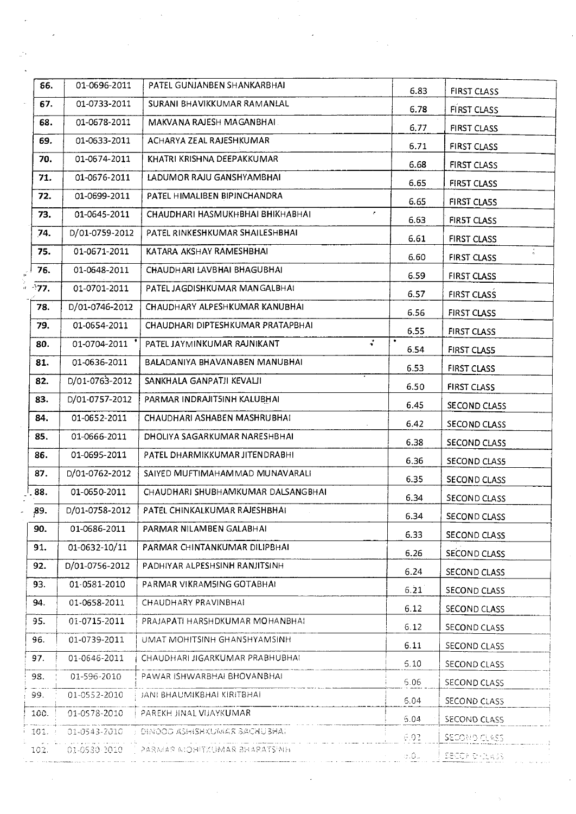| 56.   | 01-0696-2011   | PATEL GUNJANBEN SHANKARBHAI                         | 6.83           | <b>FIRST CLASS</b>  |
|-------|----------------|-----------------------------------------------------|----------------|---------------------|
| 67.   | 01-0733-2011   | SURANI BHAVIKKUMAR RAMANLAL                         | 6.78           | <b>FIRST CLASS</b>  |
| 68.   | 01-0678-2011   | MAKVANA RAJESH MAGANBHAL                            | 6.77           | FIRST CLASS         |
| 69.   | 01-0633-2011   | ACHARYA ZEAL RAJESHKUMAR                            | 6.71           | <b>FIRST CLASS</b>  |
| 70.   | 01-0674-2011   | KHATRI KRISHNA DEEPAKKUMAR                          | 6.68           | FIRST CLASS         |
| 71.   | 01-0676-2011   | LADUMOR RAJU GANSHYAMBHAI                           | 6.65           | <b>FIRST CLASS</b>  |
| 72.   | 01-0699-2011   | PATEL HIMALIBEN BIPINCHANDRA                        | 6.65           | <b>FIRST CLASS</b>  |
| 73.   | 01-0645-2011   | CHAUDHARI HASMUKHBHAI BHIKHABHAI<br>$\pmb{r}$       | 6.63           | FIRST CLASS         |
| 74.   | D/01-0759-2012 | PATEL RINKESHKUMAR SHAILESHBHAI                     | 6.61           | FIRST CLASS         |
| 75.   | 01-0671-2011   | KATARA AKSHAY RAMESHBHAI                            | 6.60           | in.<br>FIRST CLASS  |
| 76.   | 01-0648-2011   | CHAUDHARI LAVBHAI BHAGUBHAI                         | 6.59           | <b>FIRST CLASS</b>  |
| े77.  | 01-0701-2011   | PATEL JAGDISHKUMAR MANGALBHAI                       | 6.57           | <b>FIRST CLASS</b>  |
| 78.   | D/01-0746-2012 | CHAUDHARY ALPESHKUMAR KANUBHAI                      | 6.56           | <b>FIRST CLASS</b>  |
| 79.   | 01-0654-2011   | CHAUDHARI DIPTESHKUMAR PRATAPBHAI                   | 6.55           | <b>FIRST CLASS</b>  |
| 80.   | 01-0704-2011   | $\ddot{\phantom{0}}$<br>PATEL JAYMINKUMAR RAJNIKANT | 6.54           | FIRST CLASS         |
| 81.   | 01-0636-2011   | BALADANIYA BHAVANABEN MANUBHAI                      | 6.53           | <b>FIRST CLASS</b>  |
| 82.   | D/01-0763-2012 | SANKHALA GANPATJI KEVALJI                           | 6.50           | FIRST CLASS         |
| 83.   | D/01-0757-2012 | PARMAR INDRAJIT5INH KALUBHAI                        | 6.45           | <b>SECOND CLASS</b> |
| 84.   | 01-0652-2011   | CHAUDHARI ASHABEN MASHRUBHAI                        | 6.42           | <b>SECOND CLASS</b> |
| 85.   | 01-0666-2011   | DHOLIYA SAGARKUMAR NARESHBHAI                       | 6.38           | SECOND CLASS        |
| 86.   | 01-0695-2011   | PATEL DHARMIKKUMAR JITENDRABHI                      | 6.36           | SECOND CLAS5        |
| 87.   | D/01-0762-2012 | SAIYED MUFTIMAHAMMAD MUNAVARALI                     | 6.35           | SECOND CLASS        |
| . 88. | 01-0650-2011   | CHAUDHARI SHUBHAMKUMAR DALSANGBHAI                  | 6.34           | SECOND CLASS        |
| ,89.  | D/01-0758-2012 | PATEL CHINKALKUMAR RAJESHBHAI                       | 6.34           | <b>SECOND CLASS</b> |
| 90.   | 01-0686-2011   | PARMAR NILAMBEN GALABHAI                            | 6.33           | SECOND CLASS        |
| 91.   | 01-0632-10/11  | PARMAR CHINTANKUMAR DILIPBHAI                       | 6.26           | SECOND CLASS        |
| 92.   | D/01-0756-2012 | PADHIYAR ALPESHSINH RANJITSINH                      | 6.24           | SECOND CLASS        |
| 93.   | 01-0581-2010   | PARMAR VIKRAM5ING GOTABHAI                          | 6.21           | SECOND CLASS        |
| 94.   | 01-0658-2011   | CHAUDHARY PRAVINBHAI                                | 6.12           | SECOND CLASS        |
| 95.   | 01-0715-2011   | PRAJAPATI HARSHDKUMAR MOHANBHAI                     | 6.12           | SECOND CLASS        |
| 96.   | 01-0739-2011   | UMAT MOHITSINH GHANSHYAMSINH                        | 6.11           | SECOND CLASS        |
| 97.   | 01-0646-2011   | CHAUDHARI JIGARKUMAR PRABHUBHA!                     | 5.10           | SECOND CLASS        |
| 98.   | 01-596-2010    | PAWAR ISHWARBHAI BHOVANBHAI                         | 5.06           | SECOND CLASS        |
| 99.   | 01-0552-2010   | JANI BHAUMIKBHAI KIRITBHAI                          | 6.04           | SECOND CLASS        |
| 100.  | 01-0578-2010   | PAREKH JINAL VIJAYKUMAR                             | 5.04           | SECOND CLASS        |
| 101.  | 01-0543-2010   | DIMOOD ASHISHKUMAR BACHUBHAT                        | 6.02           | SECONDICLASS.       |
| 102.  | 01-0530-2010   | HIMPETARAHE RAMULNTHOM RAMRAS [                     | $\sigma_*$ 0 u | SECONDICASS.        |
|       |                |                                                     |                |                     |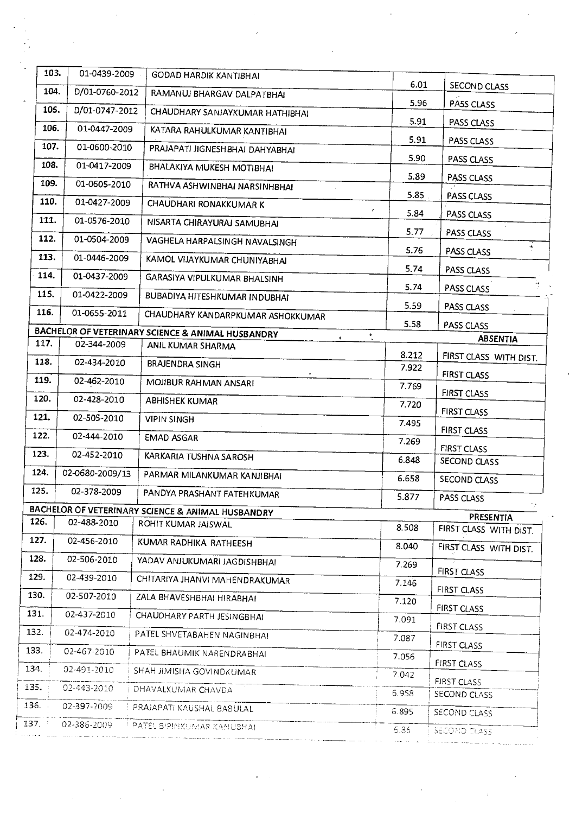|        | 103.<br>01-0439-2009   | <b>GODAD HARDIK KANTIBHAI</b>                                            |                |                        |
|--------|------------------------|--------------------------------------------------------------------------|----------------|------------------------|
|        | 104.<br>D/01-0760-2012 | RAMANUJ BHARGAV DALPATBHAI                                               | 6.01           | SECOND CLASS           |
|        | 105.<br>D/01-0747-2012 | CHAUDHARY SANJAYKUMAR HATHIBHAI                                          | 5.96           | PA5S CLASS             |
|        | 106.<br>01-0447-2009   | KATARA RAHULKUMAR KANTIBHAI                                              | 5.91           | PASS CLASS             |
|        | 107.<br>01-0600-2010   | PRAJAPATI JIGNESHBHAI DAHYABHAI                                          | 5.91           | PASS CLASS             |
| 108.   | 01-0417-2009           | BHALAKIYA MUKESH MOTIBHAI                                                | 5.90           | PASS CLASS             |
| 109.   | 01-0605-2010           | RATHVA ASHWINBHAI NARSINHBHAI                                            | 5.89           | PASS CLASS             |
| 110.   | 01-0427-2009           | <b>CHAUDHARI RONAKKUMAR K</b>                                            | 5.85           | PASS CLASS             |
| 111.   | 01-0576-2010           | NISARTA CHIRAYURAJ SAMUBHAI                                              | r<br>5.84      | PASS CLASS             |
| 112.   | 01-0504-2009           | VAGHELA HARPALSINGH NAVALSINGH                                           | 5.77           | PASS CLASS             |
| 113.   | 01-0446-2009           | KAMOL VIJAYKUMAR CHUNIYABHAI                                             | 5.76           | PASS CLASS             |
| 114.   | 01-0437-2009           | GARASIYA VIPULKUMAR BHALSINH                                             | 5.74           | PASS CLASS             |
| 115.   | 01-0422-2009           | BUBADIYA HITESHKUMAR INDUBHAI                                            | 5.74           | PASS CLASS             |
| 116.   | 01-0655-2011           |                                                                          | 5.59           | PASS CLASS             |
|        |                        | CHAUDHARY KANDARPKUMAR ASHOKKUMAR                                        | 5.58           | PASS CLASS             |
| 117.   | 02-344-2009            | BACHELOR OF VETERINARY SCIENCE & ANIMAL HUSBANDRY<br>ANIL KUMAR SHARMA   | $\bullet$      | <b>ABSENTIA</b>        |
| 118.   | 02-434-2010            | <b>BRAJENDRA SINGH</b>                                                   | 8.212<br>7.922 | FIRST CLASS WITH DIST. |
| 119.   | 02-462-2010            | MOJIBUR RAHMAN ANSARI                                                    |                | <b>FIRST CLASS</b>     |
| 120.   | 02-428-2010            | <b>ABHISHEK KUMAR</b>                                                    | 7.769          | FIRST CLASS            |
| 121.   | 02-505-2010            | <b>VIPIN SINGH</b>                                                       | 7.720          | <b>FIRST CLASS</b>     |
| 122.   | 02-444-2010            | <b>EMAD ASGAR</b>                                                        | 7.495          | FIRST CLASS            |
| 123.   | 02-452-2010            |                                                                          | 7.269          | <b>FIRST CLASS</b>     |
| 124.   | 02-0680-2009/13        | KARKARIA TUSHNA SAROSH                                                   | 6.848          | SECOND CLASS           |
|        |                        | PARMAR MILANKUMAR KANJIBHAI                                              | 6.658          | SECOND CLASS           |
| 125.   | 02-378-2009            | PANDYA PRASHANT FATEHKUMAR                                               | 5.877          | PASS CLASS             |
| 126.   | 02-488-2010            | BACHELOR OF VETERINARY SCIENCE & ANIMAL HUSBANDRY<br>ROHIT KUMAR JAISWAL |                | PRESENTIA              |
| 127.   | 02-456-2010            | KUMAR RADHIKA RATHEESH                                                   | 8.508          | FIRST CLASS WITH DIST. |
| 128.   | 02-506-2010            | YADAV ANJUKUMARI JAGDISHBHAI                                             | 8.040          | FIRST CLASS WITH DIST. |
| 129.   | 02-439-2010            |                                                                          | 7.269          | <b>FIRST CLASS</b>     |
| 130.   | 02-507-2010            | CHITARIYA JHANVI MAHENDRAKUMAR                                           | 7.146          | FIRST CLASS            |
| 131.   |                        | ZALA BHAVESHBHAI HIRABHAI                                                | 7.120          | <b>FIRST CLASS</b>     |
|        | 02-437-2010            | CHAUDHARY PARTH JESINGBHAI                                               | 7.091          | FIRST CLASS            |
| 132.   | 02-474-2010            | PATEL SHVETABAHEN NAGINBHAI                                              | 7.087          | FIRST CLASS            |
| 133.   | 02-467-2010            | PATEL BHAUMIK NARENDRABHAI                                               | 7.056          | FIRST CLASS            |
| 134.   | 02-491-2010            | SHAH JIMISHA GOVINDKUMAR                                                 | 7.042          | FIRST CLASS            |
| 135.   | 02-443-2010            | DHAVALKUMAR CHAVDA                                                       | 6.958          | SECOND CLASS           |
| 136. . | 02-397-2009            | PRAJAPATI KAUSHAL BABULAL                                                | 6.895          | SECOND CLASS           |
| 137.   | 02-386-2009            | <b>PATEL BIPINKUMAR KANUBHAL</b>                                         | 6.85           | SECOND CLASS           |

 $\epsilon_{\rm{eff}}$ 

 $\frac{1}{2} \frac{1}{2} \frac{1}{2} \frac{1}{2}$ 

 $\frac{1}{2}$ 

 $\frac{1}{2}$ 

 $\label{eq:2} \frac{1}{\sqrt{2}}\int_{0}^{\pi} \frac{1}{\sqrt{2}}\left(\frac{1}{\sqrt{2}}\right)^{2}d\theta\,d\theta.$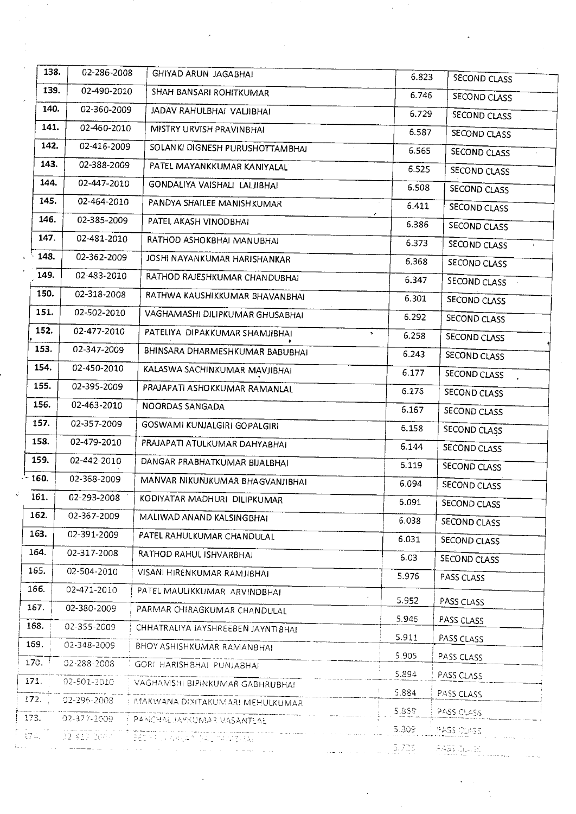| 138.    | 02-286-2008 | GHIYAD ARUN JAGABHAI                                                                                                                                                                                                                                               | 6.823       | SECOND CLASS |
|---------|-------------|--------------------------------------------------------------------------------------------------------------------------------------------------------------------------------------------------------------------------------------------------------------------|-------------|--------------|
| 139.    | 02-490-2010 | SHAH BANSARI ROHITKUMAR                                                                                                                                                                                                                                            | 6.746       | SECOND CLASS |
| 140.    | 02-360-2009 | JADAV RAHULBHAI VALJIBHAI                                                                                                                                                                                                                                          | 6.729       | SECOND CLASS |
| 141.    | 02-460-2010 | MISTRY URVISH PRAVINBHAI                                                                                                                                                                                                                                           | 6.587       | SECOND CLASS |
| 142.    | 02-416-2009 | SOLANKI DIGNESH PURUSHOTTAMBHAI                                                                                                                                                                                                                                    | 6.565       | SECOND CLASS |
| 143.    | 02-388-2009 | PATEL MAYANKKUMAR KANIYALAL                                                                                                                                                                                                                                        | 6.525       | SECOND CLASS |
| 144.    | 02-447-2010 | GONDALIYA VAISHALI LALJIBHAI                                                                                                                                                                                                                                       | 6.508       | SECOND CLASS |
| 145.    | 02-464-2010 | PANDYA SHAILEE MANISHKUMAR                                                                                                                                                                                                                                         | 6.411       | SECOND CLASS |
| 146.    | 02-385-2009 | PATEL AKASH VINODBHAI                                                                                                                                                                                                                                              | ٠<br>6.386  | SECOND CLASS |
| 147.    | 02-481-2010 | RATHOD ASHOKBHAI MANUBHAI                                                                                                                                                                                                                                          | 6.373       | SECOND CLASS |
| 148.    | 02-362-2009 | JOSHI NAYANKUMAR HARISHANKAR                                                                                                                                                                                                                                       | 6.368       | SECOND CLASS |
| 149.    | 02-483-2010 | RATHOD RAJESHKUMAR CHANDUBHAI                                                                                                                                                                                                                                      | 6.347       | SECOND CLASS |
| 150.    | 02-318-2008 | RATHWA KAUSHIKKUMAR BHAVANBHAI                                                                                                                                                                                                                                     | 6.301       | SECOND CLASS |
| 151.    | 02-502-2010 | VAGHAMASHI DILIPKUMAR GHUSABHAI                                                                                                                                                                                                                                    | 6.292       | SECOND CLASS |
| 152.    | 02-477-2010 | PATELIYA DIPAKKUMAR SHAMJIBHAI                                                                                                                                                                                                                                     | э.<br>6.258 | SECOND CLASS |
| 153.    | 02-347-2009 | BHINSARA DHARMESHKUMAR BABUBHAI                                                                                                                                                                                                                                    | 6.243       | SECOND CLASS |
| 154.    | 02-450-2010 | KALASWA SACHINKUMAR MAVJIBHAI                                                                                                                                                                                                                                      | 6.177       | SECOND CLASS |
| 155.    | 02-395-2009 | PRAJAPATI ASHOKKUMAR RAMANLAL                                                                                                                                                                                                                                      | 6.176       | SECOND CLASS |
| 156.    | 02-463-2010 | NOORDAS SANGADA                                                                                                                                                                                                                                                    | 6.167       | SECOND CLASS |
| 157.    | 02-357-2009 | GOSWAMI KUNJALGIRI GOPALGIRI                                                                                                                                                                                                                                       | 6.158       | SECOND CLASS |
| 158.    | 02-479-2010 | PRAJAPATI ATULKUMAR DAHYABHAI                                                                                                                                                                                                                                      | 6.144       | SECOND CLASS |
| 159.    | 02-442-2010 | DANGAR PRABHATKUMAR BIJALBHAI                                                                                                                                                                                                                                      | 6.119       | SECOND CLASS |
| $-160.$ | 02-368-2009 | MANVAR NIKUNJKUMAR BHAGVANJIBHAI                                                                                                                                                                                                                                   | 6.094       | SECOND CLASS |
| 161.    | 02-293-2008 | KODIYATAR MADHURI DILIPKUMAR                                                                                                                                                                                                                                       | 6.091       | SECOND CLASS |
| 162.    | 02-367-2009 | MALIWAD ANAND KALSINGBHAI                                                                                                                                                                                                                                          | 6.038       | SECOND CLASS |
| 163.    | 02-391-2009 | PATEL RAHULKUMAR CHANDULAL                                                                                                                                                                                                                                         | 6.031       | SECOND CLASS |
| 164.    | 02-317-2008 | RATHOD RAHUL ISHVARBHAI                                                                                                                                                                                                                                            | 6.03        | SECOND CLASS |
| 165.    | 02-504-2010 | VISANI HIRENKUMAR RAMJIBHAI                                                                                                                                                                                                                                        | 5.976       | PASS CLASS   |
| 166.    | 02-471-2010 | PATEL MAULIKKUMAR ARVINDBHAI                                                                                                                                                                                                                                       | 5.952       | PASS CLASS   |
| 167.    | 02-380-2009 | PARMAR CHIRAGKUMAR CHANDULAL                                                                                                                                                                                                                                       | 5.946       | PASS CLASS   |
| 168.    | 02-355-2009 | CHHATRALIYA JAYSHREEBEN JAYNTIBHAI                                                                                                                                                                                                                                 | 5.911       | PASS CLASS   |
| 169.    | 02-348-2009 | BHOY ASHISHKUMAR RAMANBHAI                                                                                                                                                                                                                                         | 5.905       | PASS CLASS   |
| 170.    | 02-288-2008 | GORI HARISHBHAI PUNJABHAI                                                                                                                                                                                                                                          | 5.894       | PASS CLASS   |
| 171.    | 02-501-2010 | VAGHAMSHI BIPINKUMAR GABHRUBHAI                                                                                                                                                                                                                                    | 5.884       | PASS CLASS   |
| 172.    | 02-296-2008 | MAKWANA DIXITAKUMARI MEHULKUMAR                                                                                                                                                                                                                                    | 5.858       | PASS OLASS   |
| 173.    |             | 02-377-2009   PANCHAL JAYKUMAR MASANTLAE<br>المستوالي والمتوارث والمستوفية والمستعمل                                                                                                                                                                               | 5.309       | PASS CLASS.  |
| t74.    | 02 413 DOWN | <b>SECRICARLAR SALTANIERA:</b><br>اللہ کے ایک مطابق میں اس کے اس کے اس کے اس کے مطابق اس کے اس کے اس کے مطابق اس کے اس کے اس کے اس کے اس کے اس ک<br>اس کے اس کے اس کے اس کے اس کے اس کے اس کے اس کے اس کے اس کے اس کے اس کے اس کے اس کے اس کے اس کے اس کے اس کے اس | 5,709.      | 8835 Junet   |
|         |             |                                                                                                                                                                                                                                                                    |             |              |

 $\mathcal{O}(\mathcal{F})$ 

 $\mathcal{F}^{\text{max}}_{\text{max}}$ 

 $\ddot{\phantom{a}}$ 

 $\mathcal{L}_{\text{eff}}$ 

 $\mathcal{A}$ 

 $\mathcal{A}^{\mathcal{A}}$ 

 $\mathcal{F}^{\text{c}}_{\text{c}}$  and  $\mathcal{F}^{\text{c}}_{\text{c}}$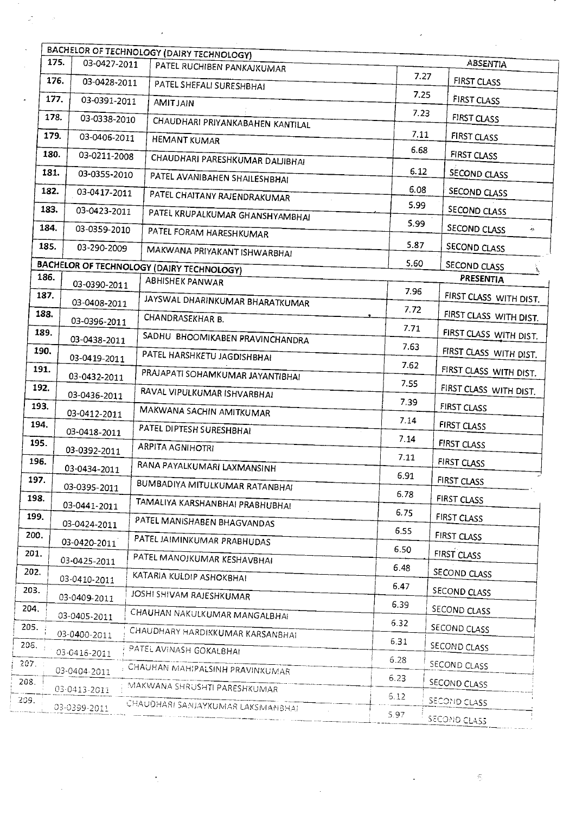| 175. | 03-0427-2011 | BACHELOR OF TECHNOLOGY (DAIRY TECHNOLOGY)        |              | <b>ABSENTIA</b>        |
|------|--------------|--------------------------------------------------|--------------|------------------------|
| 176. |              | PATEL RUCHIBEN PANKAJKUMAR                       | 7.27         |                        |
| 177. | 03-0428-2011 | PATEL SHEFALI SURESHBHAI                         | 7.25         | FIRST CLASS            |
|      | 03-0391-2011 | <b>AMIT JAIN</b>                                 | 7.23         | FIRST CLASS            |
| 178. | 03-0338-2010 | CHAUDHARI PRIYANKABAHEN KANTILAL                 |              | <b>FIRST CLASS</b>     |
| 179. | 03-0406-2011 | <b>HEMANT KUMAR</b>                              | 7.11<br>6.68 | FIRST CLASS            |
| 180. | 03-0211-2008 | CHAUDHARI PARESHKUMAR DALJIBHAI                  |              | FIRST CLASS            |
| 181. | 03-0355-2010 | PATEL AVANIBAHEN SHAILESHBHAI                    | 6.12         | SECOND CLASS           |
| 182. | 03-0417-2011 | PATEL CHAITANY RAJENDRAKUMAR                     | 6.08         | SECOND CLASS           |
| 183. | 03-0423-2011 | PATEL KRUPALKUMAR GHANSHYAMBHAI                  | 5.99         | SECOND CLASS           |
| 184. | 03-0359-2010 | PATEL FORAM HARESHKUMAR                          | 5.99         | SECOND CLASS<br>الجياد |
| 185. | 03-290-2009  | MAKWANA PRIYAKANT ISHWARBHAI                     | 5.87         | SECOND CLASS           |
|      |              | <b>BACHELOR OF TECHNOLOGY (DAIRY TECHNOLOGY)</b> | 5.60         | SECOND CLASS           |
| 186. | 03-0390-2011 | <b>ABHISHEK PANWAR</b>                           |              | PRESENTIA              |
| 187. | 03-0408-2011 | JAYSWAL DHARINKUMAR BHARATKUMAR                  | 7.96         | FIRST CLASS WITH DIST. |
| 188. | 03-0396-2011 | CHANDRASEKHAR B.                                 | 7.72         | FIRST CLASS WITH DIST. |
| 189. | 03-0438-2011 | SADHU BHOOMIKABEN PRAVINCHANDRA                  | 7.71         | FIRST CLASS WITH DIST. |
| 190. |              | PATEL HARSHKETU JAGDISHBHAI                      | 7.63         | FIRST CLASS WITH DIST. |
| 191. | 03-0419-2011 | PRAJAPATI SOHAMKUMAR JAYANTIBHAI                 | 7.62         | FIRST CLASS WITH DIST. |
| 192. | 03-0432-2011 |                                                  | 7.55         | FIRST CLASS WITH DIST. |
| 193. | 03-0436-2011 | RAVAL VIPULKUMAR ISHVARBHAI                      | 7.39         | FIRST CLASS            |
| 194. | 03-0412-2011 | MAKWANA SACHIN AMITKUMAR                         | 7.14         | FIRST CLASS            |
| 195. | 03-0418-2011 | PATEL DIPTESH SURESHBHAI                         | 7.14         | FIRST CLASS            |
| 196. | 03-0392-2011 | <b>ARPITA AGNIHOTRI</b>                          | 7.11         |                        |
|      | 03-0434-2011 | RANA PAYALKUMARI LAXMANSINH                      | 6.91         | <b>FIRST CLASS</b>     |
| 197. | 03-0395-2011 | BUMBADIYA MITULKUMAR RATANBHAI                   | 6.78         | FIRST CLASS            |
| 198. | 03-0441-2011 | TAMALIYA KARSHANBHAI PRABHUBHAI                  | 6.75         | FIRST CLASS            |
| 199. | 03-0424-2011 | PATEL MANISHABEN BHAGVANDAS                      | 6.55         | FIRST CLASS            |
| 200. | 03-0420-2011 | PATEL JAIMINKUMAR PRABHUDAS                      |              | FIRST CLASS            |
| 201. | 03-0425-2011 | PATEL MANOJKUMAR KESHAVBHAI                      | 6.50         | <b>FIRST CLASS</b>     |
| 202. | 03-0410-2011 | KATARIA KULDIP ASHOKBHAI                         | 6.48         | SECOND CLASS           |
| 203. | 03-0409-2011 | JOSHI SHIVAM RAJESHKUMAR                         | 6.47         | SECOND CLASS           |
| 204. | 03-0405-2011 | CHAUHAN NAKULKUMAR MANGALBHAI                    | 6.39         | SECOND CLASS           |
| 205. | 03-0400-2011 | CHAUDHARY HARDIKKUMAR KARSANBHAI                 | 6.32         | SECOND CLASS           |
| 206. |              | PATEL AVINASH GOKALBHAI                          | 6.31         | SECOND CLASS           |
| 207. | 03-0416-2011 |                                                  | 6.28         | SECOND CLASS           |
|      | 03-0404-2011 | CHAUHAN MAHIPALSINH PRAVINKUMAR                  | 6.23         | SECOND CLASS           |
|      | 03-0413-2011 | MAKWANA SHRUSHTI PARESHKUMAR                     | 5.12         | SECOND CLASS           |
|      | 03-0399-2011 | CHAUDHARI SANJAYKUMAR LAKSMANBHAI                | 5.97         | SECOND CLASS           |

 $\tilde{\mathbb{S}}$ 

 $\ddot{\phantom{0}}$ 

 $\hat{\mathcal{L}}$ 

 $\label{eq:2.1} \frac{\partial}{\partial x} \left( \frac{\partial}{\partial x} \right) = \frac{\partial}{\partial x} \, .$ 

 $\mathcal{A}$ 

 $\frac{1}{2}$ 

 $\bar{\beta}$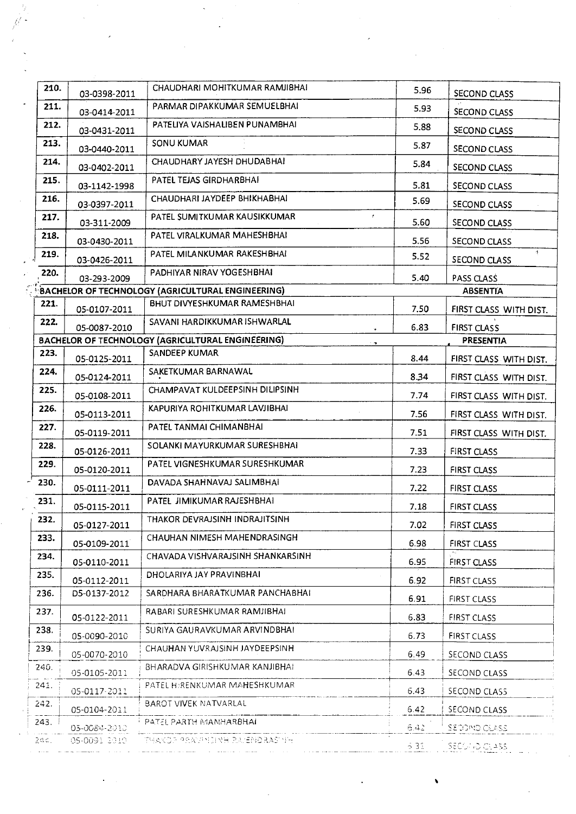| 210. |                              | CHAUDHARI MOHITKUMAR RAMJIBHAI                           |            |                        |
|------|------------------------------|----------------------------------------------------------|------------|------------------------|
| 211. | 03-0398-2011                 | PARMAR DIPAKKUMAR SEMUELBHAI                             | 5.96       | SECOND CLASS           |
|      | 03-0414-2011                 | PATELIYA VAISHALIBEN PUNAMBHAI                           | 5.93       | SECOND CLASS           |
| 212. | 03-0431-2011                 |                                                          | 5.88       | <b>SECOND CLASS</b>    |
| 213. | 03-0440-2011                 | <b>SONU KUMAR</b>                                        | 5.87       | <b>SECOND CLASS</b>    |
| 214. | 03-0402-2011                 | CHAUDHARY JAYESH DHUDABHA!                               | 5.84       | SECOND CLASS           |
| 215. | 03-1142-1998                 | PATEL TEJAS GIRDHARBHAI                                  | 5.81       | <b>SECOND CLASS</b>    |
| 216. | 03-0397-2011                 | CHAUDHARI JAYDEEP BHIKHABHAI                             | 5.69       | SECOND CLASS           |
| 217. | 03-311-2009                  | PATEL SUMITKUMAR KAUSIKKUMAR                             | r.<br>5.60 | SECOND CLASS           |
| 218. | 03-0430-2011                 | PATEL VIRALKUMAR MAHESHBHAI                              | 5.56       | SECOND CLASS           |
| 219. | 03-0426-2011                 | PATEL MILANKUMAR RAKESHBHAI                              | 5.52       | 4.<br>SECOND CLASS     |
| 220. | 03-293-2009                  | PADHIYAR NIRAV YOGESHBHAI                                | 5.40       | PASS CLASS             |
|      |                              | BACHELOR OF TECHNOLOGY (AGRICULTURAL ENGINEERING)        |            | <b>ABSENTIA</b>        |
| 221. | 05-0107-2011                 | BHUT DIVYESHKUMAR RAMESHBHAI                             | 7.50       | FIRST CLASS WITH DIST. |
| 222. | 05-0087-2010                 | SAVANI HARDIKKUMAR ISHWARLAL                             | 6.83       | <b>FIRST CLASS</b>     |
|      |                              | <b>BACHELOR OF TECHNOLOGY (AGRICULTURAL ENGINEERING)</b> |            | <b>PRESENTIA</b>       |
| 223. | 05-0125-2011                 | SANDEEP KUMAR                                            | 8.44       | FIRST CLASS WITH DIST. |
| 224. | 05-0124-2011                 | SAKETKUMAR BARNAWAL                                      | 8.34       | FIRST CLASS WITH DIST. |
| 225. | 05-0108-2011                 | CHAMPAVAT KULDEEPSINH DILIPSINH                          | 7.74       | FIRST CLASS WITH DIST. |
| 226. | 05-0113-2011                 | KAPURIYA ROHITKUMAR LAVJIBHAI                            | 7.56       | FIRST CLASS WITH DIST. |
| 227. | 05-0119-2011                 | PATEL TANMAI CHIMANBHAI                                  | 7.51       | FIRST CLASS WITH DIST. |
| 228. | 05-0126-2011                 | SOLANKI MAYURKUMAR SURESHBHAI                            | 7.33       | FIRST CLASS            |
| 229. | 05-0120-2011                 | PATEL VIGNESHKUMAR SURESHKUMAR                           | 7.23       | FIRST CLASS            |
| 230. | 05-0111-2011                 | DAVADA SHAHNAVAJ SALIMBHAI                               | 7.22       | <b>FIRST CLASS</b>     |
| 231. | 05-0115-2011                 | PATEL JIMIKUMAR RAJESHBHAI                               | 7.18       | FIRST CLASS            |
| 232. | 05-0127-2011                 | THAKOR DEVRAJSINH INDRAJITSINH                           | 7.02       | <b>FIRST CLASS</b>     |
| 233. |                              | CHAUHAN NIMESH MAHENDRASINGH                             | 6.98       |                        |
| 234. | 05-0109-2011                 | CHAVADA VISHVARAJSINH SHANKARSINH.                       |            | FIRST CLASS            |
| 235. | 05-0110-2011                 | DHOLARIYA JAY PRAVINBHAI                                 | 6.95       | FIRST CLASS            |
| 236. | 05-0112-2011<br>D5-0137-2012 | SARDHARA BHARATKUMAR PANCHABHAI                          | 6.92       | <b>FIRST CLASS</b>     |
| 237. |                              | RABARI SURESHKUMAR RAMJIBHAI                             | 6.91       | FIRST CLASS            |
| 238. | 05-0122-2011                 | SURIYA GAURAVKUMAR ARVINDBHA!                            | 6.83       | FIRST CLASS            |
|      | 05-0090-2010                 |                                                          | 6.73       | <b>FIRST CLASS</b>     |
| 239. | 05-0070-2010                 | CHAUHAN YUVRAJSINH JAYDEEPSINH                           | 6.49       | SECOND CLASS           |
| 240. | 05-0105-2011                 | <b>BHARADVA GIRISHKUMAR KANJIBHA!</b>                    | 6.43       | SECOND CLASS           |
| 241. | 05-0117-2011                 | PATEL H:RENKUMAR MAHESHKUMAR                             | 6.43       | SECOND CLASS           |
| 242. | 05-0104-2011                 | BAROT VIVEK NATVARLAL                                    | 6.42       | SECOND CLASS           |
| 243. | 05-0084-2010                 | PATEL PARTH MANHARBHAI                                   | 6.42       | SE DOMO CLASS          |
| 24s. | 05-0091-2010-                | HE RAKOP PRAMPINER HALF ROYART                           | 6.31       | SECONDICLASS.          |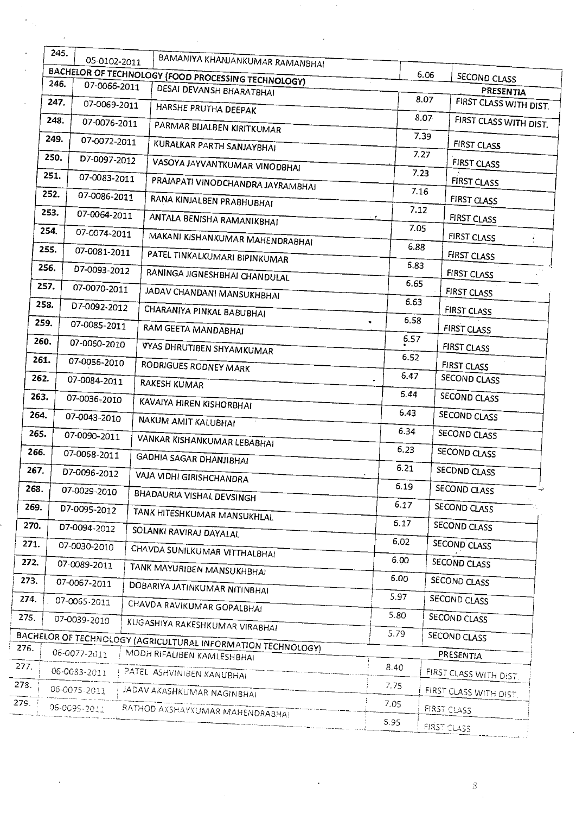|      | 245. | 05-0102-2011 | BAMANIYA KHANJANKUMAR RAMANSHAI                                                            |           |      |                                 |
|------|------|--------------|--------------------------------------------------------------------------------------------|-----------|------|---------------------------------|
|      |      |              | BACHELOR OF TECHNOLOGY (FOOD PROCESSING TECHNOLOGY)                                        |           | 6.06 | SECOND CLASS                    |
|      | 246. | 07-0066-2011 | DESAI DEVANSH BHARATBHAI                                                                   |           |      | PRESENTIA                       |
|      | 247. | 07-0069-2011 | HARSHE PRUTHA DEEPAK                                                                       |           | 8.07 | FIRST CLASS WITH DIST.          |
|      | 248. | 07-0076-2011 |                                                                                            |           | 8.07 | FIRST CLASS WITH DIST.          |
|      | 249. | 07-0072-2011 | PARMAR BIJALBEN KIRITKUMAR                                                                 |           | 7.39 |                                 |
|      | 250. | D7-0097-2012 | KURALKAR PARTH SANJAYBHAI                                                                  |           | 7.27 | <b>FIRST CLASS</b>              |
|      | 251. |              | VASOYA JAYVANTKUMAR VINODBHAI                                                              |           | 7.23 | <b>FIRST CLASS</b>              |
|      | 252. | 07-0083-2011 | PRAJAPATI VINODCHANDRA JAYRAMBHAI                                                          |           | 7.16 | <b>FIRST CLASS</b>              |
|      |      | 07-0086-2011 | RANA KINJALBEN PRABHUBHAI                                                                  | 7.12      |      | FIRST CLASS                     |
|      | 253. | 07-0064-2011 | ANTALA BENISHA RAMANIKBHAI                                                                 |           |      | <b>FIRST CLASS</b>              |
|      | 254. | 07-0074-2011 | MAKANI KISHANKUMAR MAHENDRABHAI                                                            | 7.05      |      | <b>FIRST CLASS</b><br>$\pmb{z}$ |
|      | 255. | 07-0081-2011 | PATEL TINKALKUMARI BIPINKUMAR                                                              | 6.88      |      | FIRST CLASS                     |
|      | 256. | D7-0093-2012 | RANINGA JIGNESHBHAI CHANDULAL                                                              | 6.83      |      | FIRST CLASS                     |
|      | 257. | 07-0070-2011 | JADAV CHANDAN! MANSUKHBHAI                                                                 | 6.65      |      | FIRST CLASS                     |
|      | 258. | D7-0092-2012 | CHARANIYA PINKAL BABUBHAI                                                                  | 6.63      |      | FIRST CLASS                     |
|      | 259. | 07-0085-2011 | RAM GEETA MANDABHAI                                                                        | 6.58<br>, |      | <b>FIRST CLASS</b>              |
|      | 260. | 07-0060-2010 |                                                                                            | 6.57      |      | <b>FIRST CLASS</b>              |
|      | 261. | 07-0056-2010 | VYAS DHRUTIBEN SHYAMKUMAR                                                                  | 6.52      |      |                                 |
|      | 262. | 07-0084-2011 | RODRIGUES RODNEY MARK                                                                      | 6.47      |      | FIRST CLASS<br>SECOND CLASS     |
| 263. |      | 07-0036-2010 | RAKESH KUMAR                                                                               | 6.44      |      | <b>SECOND CLASS</b>             |
| 264. |      |              | KAVAIYA HIREN KISHORBHAI                                                                   | 6.43      |      | SECOND CLASS                    |
|      |      | 07-0043-2010 | NAKUM AMIT KALUBHAI                                                                        | 6.34      |      |                                 |
| 265. |      | 07-0090-2011 | VANKAR KISHANKUMAR LEBABHAI                                                                | 6.23      |      | SECOND CLASS                    |
| 266. |      | 07-0068-2011 | <b>GADHIA SAGAR DHANJIBHAI</b>                                                             |           |      | SECOND CLASS                    |
| 267. |      | D7-0096-2012 | VAJA VIDHI GIRISHCHANDRA                                                                   | 6.21      |      | SECDND CLASS                    |
| 268. |      | 07-0029-2010 | BHADAURIA VISHAL DEVSINGH                                                                  | 6.19      |      | SECOND CLASS                    |
| 269. |      | D7-0095-2012 | TANK HITESHKUMAR MANSUKHLAL                                                                | 6.17      |      | SECOND CLASS                    |
| 270. |      | D7-0094-2012 | SOLANKI RAVIRAJ DAYALAL                                                                    | 6.17      |      | SECOND CLASS                    |
| 271. |      | 07-0030-2010 | CHAVDA SUNILKUMAR VITTHALBHAI                                                              | 6.02      |      | SECOND CLASS                    |
| 272. |      | 07-0089-2011 | TANK MAYURIBEN MANSUKHBHAI                                                                 | 6.00      |      | SECOND CLASS                    |
| 273. |      | 07-0067-2011 | DOBARIYA JATINKUMAR NITINBHAI                                                              | 6.00      |      | SECOND CLASS                    |
| 274. |      | 07-0065-2011 | CHAVDA RAVIKUMAR GOPALBHAI                                                                 | 5.97      |      | SECOND CLASS                    |
| 275. |      | 07-0039-2010 |                                                                                            | 5.80      |      | SECOND CLASS                    |
|      |      |              | KUGASHIYA RAKESHKUMAR VIRABHAI                                                             | 5.79      |      | SECOND CLASS                    |
|      |      | 06-0077-2011 | BACHELOR OF TECHNOLOGY (AGRICULTURAL INFORMATION TECHNOLOGY)<br>MODH RIFALIBEN KAMLESHBHAI |           |      | PRESENTIA                       |
| 277. |      | 06-0083-2011 | PATEL ASHVINIBEN KANUBHAI                                                                  | 8.40      |      |                                 |
| 278. |      | 06-0075-2011 |                                                                                            | 7.75      |      | FIRST CLASS WITH DIST.          |
| 279. |      | 06-0095-2011 | JADAV AKASHKUMAR NAGINBHAJ                                                                 | 7.05      |      | FIRST CLASS WITH DIST.          |
|      |      |              | RATHOD AKSHAYKUMAR MAHENDRABHAI                                                            | 5.95      |      | FIRST CLASS                     |
|      |      |              |                                                                                            |           |      | <b>FIRST CLASS</b>              |

 $\hat{\boldsymbol{\beta}}$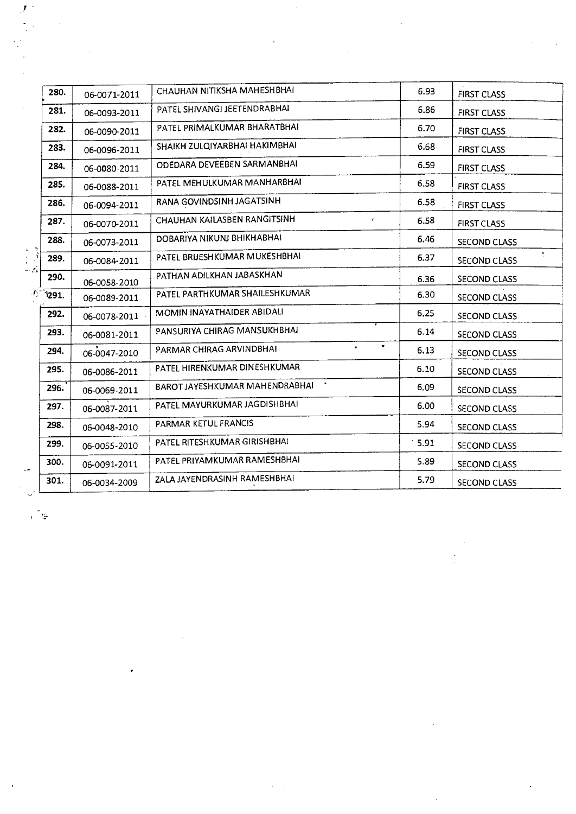|                           | 280.   | 06-0071-2011 | CHAUHAN NITIKSHA MAHESHBHAI                 | 6.93 | <b>FIRST CLASS</b>         |
|---------------------------|--------|--------------|---------------------------------------------|------|----------------------------|
|                           | 281.   | 06-0093-2011 | PATEL SHIVANGI JEETENDRABHAI                | 6.86 | <b>FIRST CLASS</b>         |
|                           | 282.   | 06-0090-2011 | PATEL PRIMALKUMAR BHARATBHAI                | 6.70 | <b>FIRST CLASS</b>         |
|                           | 283.   | 06-0096-2011 | SHAIKH ZULQIYARBHAI HAKIMBHAI               | 6.68 | <b>FIRST CLASS</b>         |
|                           | 284.   | 06-0080-2011 | ODEDARA DEVEEBEN SARMANBHAI                 | 6.59 | <b>FIRST CLASS</b>         |
|                           | 285.   | 06-0088-2011 | PATEL MEHULKUMAR MANHARBHAI                 | 6.58 | <b>FIRST CLASS</b>         |
|                           | 286.   | 06-0094-2011 | RANA GOVINDSINH JAGATSINH                   | 6.58 | <b>FIRST CLASS</b>         |
|                           | 287.   | 06-0070-2011 | CHAUHAN KAILASBEN RANGITSINH                | 6.58 | <b>FIRST CLASS</b>         |
|                           | 288.   | 06-0073-2011 | DOBARIYA NIKUNJ BHIKHABHAI                  | 6.46 | SECOND CLASS               |
|                           | 289.   | 06-0084-2011 | PATEL BRIJESHKUMAR MUKESHBHAI               | 6.37 | $\epsilon$<br>SECOND CLASS |
|                           | 290.   | 06-0058-2010 | PATHAN ADILKHAN JABASKHAN                   | 6.36 | SECOND CLASS               |
| $\mathcal{L}_\mathcal{L}$ | `î291. | 06-0089-2011 | PATEL PARTHKUMAR SHAILESHKUMAR              | 6.30 | SECOND CLASS               |
|                           | 292.   | 06-0078-2011 | MOMIN INAYATHAIDER ABIDALI                  | 6.25 | SECOND CLASS               |
|                           | 293.   | 06-0081-2011 | PANSURIYA CHIRAG MANSUKHBHAI                | 6.14 | SECOND CLASS               |
|                           | 294.   | 06-0047-2010 | ۰.<br>$\bullet$<br>PARMAR CHIRAG ARVINDBHAI | 6.13 | SECOND CLASS               |
|                           | 295.   | 06-0086-2011 | PATEL HIRENKUMAR DINESHKUMAR                | 6.10 | <b>SECOND CLASS</b>        |
|                           | 296.   | 06-0069-2011 | BAROT JAYESHKUMAR MAHENDRABHAI              | 6.09 | SECOND CLASS               |
|                           | 297.   | 06-0087-2011 | PATEL MAYURKUMAR JAGDISHBHAI                | 6.00 | SECOND CLASS               |
|                           | 298.   | 06-0048-2010 | PARMAR KETUL FRANCIS                        | 5.94 | SECOND CLASS               |
|                           | 299.   | 06-0055-2010 | PATEL RITESHKUMAR GIRISHBHAI                | 5.91 | SECOND CLASS               |
|                           | 300.   | 06-0091-2011 | PATEL PRIYAMKUMAR RAMESHBHAI                | 5.89 | <b>SECOND CLASS</b>        |
|                           | 301.   | 06-0034-2009 | ZALA JAYENDRASINH RAMESHBHAI                | 5.79 | SECOND CLASS               |

 $\vec{V}$ 

 $\frac{1}{2}$ 

 $\int_{0}^{\infty}r_{\frac{1}{2}}^{2}$ 

 $\bullet$ 

 $\frac{1}{2}$ 

 $\mathcal{L}_{\mathcal{A}}$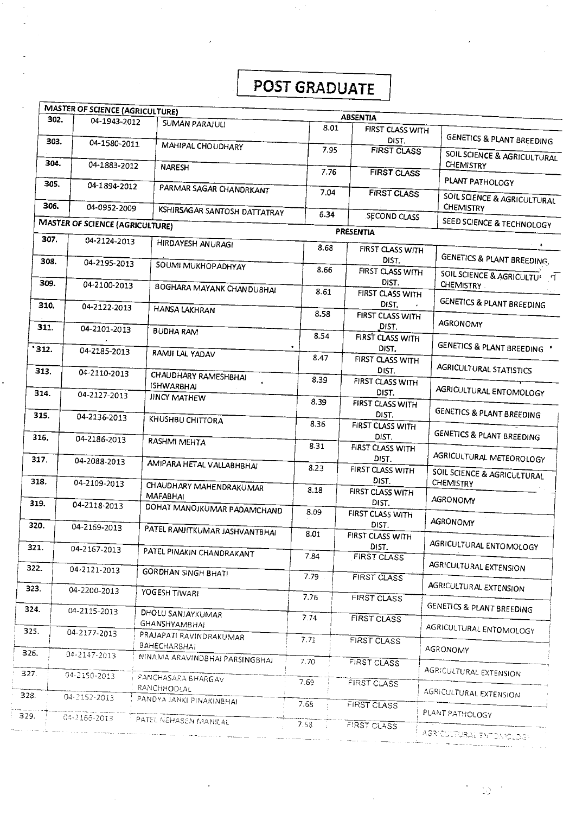# **I POST GRADUATE**

|                | <b>MASTER OF SCIENCE (AGRICULTURE)</b> |                                                       |                   |                             |                                                         |
|----------------|----------------------------------------|-------------------------------------------------------|-------------------|-----------------------------|---------------------------------------------------------|
| 302.           | 04-1943-2012                           | <b>SUMAN PARAJULI</b>                                 |                   | <b>ABSENTIA</b>             |                                                         |
| 303.           | 04-1580-2011                           | MAHIPAL CHOUDHARY                                     | 8.01              | FIRST CLASS WITH<br>DIST.   | <b>GENETICS &amp; PLANT BREEDING</b>                    |
| 304.           | 04-1883-2012                           |                                                       | 7.95              | <b>FIRST CLASS</b>          | SOIL SCIENCE & AGRICULTURAL<br>CHEMISTRY                |
| 305.           |                                        | <b>NARESH</b>                                         | 7.76              | <b>FIRST CLASS</b>          | PLANT PATHOLOGY                                         |
|                | 04-1894-2012                           | PARMAR SAGAR CHANDRKANT                               | 7.04              | <b>FIRST CLASS</b>          | SOIL SCIENCE & AGRICULTURAL                             |
| 306.           | 04-0952-2009                           | KSHIRSAGAR SANTOSH DATTATRAY                          | 6.34              | <b>SECOND CLASS</b>         | CHEMISTRY                                               |
|                | <b>MASTER OF SCIENCE (AGRICULTURE)</b> |                                                       |                   | PRESENTIA                   | SEED SCIENCE & TECHNOLOGY                               |
| 307.           | 04-2124-2013                           | HIRDAYESH ANURAGI                                     | 8.68              | FIRST CLASS WITH            |                                                         |
| 308.           | 04-2195-2013                           | SOUMI MUKHOPADHYAY                                    | 8.66              | DIST.<br>FIRST CLASS WITH   | GENETICS & PLANT BREEDING.<br>SOIL SCIENCE & AGRICULTUI |
| 309.           | 04-2100-2013                           | BOGHARA MAYANK CHANDUBHAI                             | 8.61              | DIST.<br>FIRST CLASS WITH   | <b>CHEMISTRY</b>                                        |
| 310.           | 04-2122-2013                           | <b>HANSA LAKHRAN</b>                                  | 8.58              | DIST.<br>FIRST CLASS WITH   | GENETICS & PLANT BREEDING                               |
| 311.           | 04-2101-2013                           | <b>BUDHA RAM</b>                                      | 8.54              | DIST.<br>FIRST CLASS WITH   | AGRONOMY                                                |
| $^{\circ}312.$ | 04-2185-2013                           | RAMJI LAL YADAV                                       | $\bullet$<br>8.47 | DIST.<br>FIRST CLASS WITH   | GENETICS & PLANT BREEDING '                             |
| 313.           | 04-2110-2013                           | CHAUDHARY RAMESHBHAI                                  | 8.39              | DIST.                       | AGRICULTURAL STATISTICS                                 |
| 314.           | 04-2127-2013                           | <b>ISHWARBHAI</b><br>JINCY MATHEW                     |                   | FIRST CLASS WITH<br>DIST.   | AGRICULTURAL ENTOMOLOGY                                 |
| 315.           | 04-2136-2013                           | KHUSHBU CHITTORA                                      | 8.39              | FIRST CLASS WITH<br>DIST.   | GENETICS & PLANT BREEDING                               |
| 316.           | 04-2186-2013                           | RASHMI MEHTA                                          | 8.36              | FIRST CLASS WITH<br>DIST.   | <b>GENETICS &amp; PLANT BREEDING</b>                    |
| 317.           | 04-2088-2013                           |                                                       | 8.31              | FIRST CLASS WITH<br>DI5T.   | AGRICULTURAL METEOROLOGY                                |
| 318.           |                                        | AMIPARA HETAL VALLABHBHAI                             | 8.23              | FIRST CLASS WITH<br>DIST.   | SOIL SCIENCE & AGRICULTURAL                             |
|                | 04-2109-2013                           | CHAUDHARY MAHENDRAKUMAR<br><b>MAFABHAI</b>            | 8.18              | FIRST CLASS WITH            | CHEMISTRY<br>AGRONOMY                                   |
| 319.           | 04-2118-2013                           | DOHAT MANOJKUMAR PADAMCHAND                           | 8.09              | DIST.<br>FIRST CLASS WITH   | AGRONOMY                                                |
| 320.           | 04-2169-2013                           | PATEL RANJITKUMAR JASHVANTBHAI                        | 8.01              | DIST.<br>FIRST CLASS WITH   |                                                         |
| 321.           | 04-2167-2013                           | PATEL PINAKIN CHANDRAKANT                             | 7.84              | DIST.<br><b>FIRST CLASS</b> | AGRICULTURAL ENTOMOLOGY                                 |
| 322.           | 04-2121-2013                           | <b>GORDHAN SINGH BHATI</b>                            | 7.79              | FIRST CLASS                 | AGRICULTURAL EXTENSION                                  |
| 323.           | 04-2200-2013                           | YOGESH TIWARI                                         | 7.76              | <b>FIRST CLASS</b>          | AGRICULTURAL EXTENSION                                  |
| 324.           | 04-2115-2013                           | DHOLU SANJAYKUMAR<br><b>GHANSHYAMBHAI</b>             | 7.74              | <b>FIRST CLASS</b>          | GENETICS & PLANT BREEDING                               |
| 325.           | 04-2177-2013                           | PRAJAPATI RAVINDRAKUMAR                               | 7.71              | FIRST CLASS                 | AGRICULTURAL ENTOMOLOGY                                 |
| 326.           | 04-2147-2013                           | <b>BAHECHARBHAI</b><br>NINAMA ARAVINDBHAI PARSINGBHAI | 7.70              | <b>FIRST CLASS</b>          | AGRONOMY                                                |
| 327.           | 04-2150-2013                           | PANCHASARA BHARGAV                                    | 7.69              | <b>FIRST CLASS</b>          | AGRICULTURAL EXTENSION                                  |
| 328.           | 04-2152-2013                           | RANCHHODLAL<br>PANDYA JANKI PINAKINBHAI               | 7.68              |                             | AGRICULTURAL EXTENSION                                  |
| 329.           | 04-2166-2013                           | PATEL NEHABEN MANILAL                                 |                   | FIRST CLASS                 | PLANT PATHOLOGY                                         |
|                |                                        |                                                       | 7.58              | <b>FIRST CLASS</b>          | AGRICULTURAL ENTONIOLOGI                                |

 $\ddot{\phantom{0}}$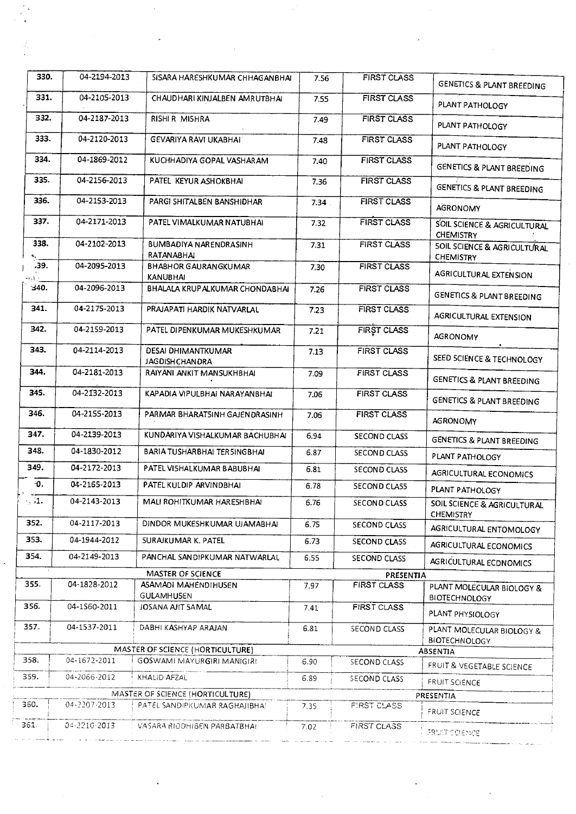| 330.               | 04-2194-2013 | SISARA HARESHKUMAR CHHAGANBHAI                 | 7.56 | <b>FIRST CLASS</b>  |                                                            |
|--------------------|--------------|------------------------------------------------|------|---------------------|------------------------------------------------------------|
|                    |              |                                                |      |                     | <b>GENETICS &amp; PLANT BREEDING</b>                       |
| 331.               | 04-2105-2013 | CHAUDHARI KINJALBEN AMRUTBHAI                  | 7.55 | <b>FIRST CLASS</b>  | PLANT PATHOLOGY                                            |
| 332.               | 04-2187-2013 | RISHI R MISHRA                                 | 7.49 | <b>FIRST CLASS</b>  | PLANT PATHOLOGY                                            |
| 333.               | 04-2120-2013 | <b>GEVARIYA RAVI UKABHAI</b>                   | 7.48 | <b>FIRST CLASS</b>  | PLANT PATHOLOGY                                            |
| 334.               | 04-1869-2012 | KUCHHADIYA GOPAL VASHARAM                      | 7.40 | <b>FIRST CLASS</b>  | <b>GENETICS &amp; PLANT BREEDING</b>                       |
| 335.               | 04-2156-2013 | PATEL KEYUR ASHOKBHAI                          | 7.36 | <b>FIRST CLASS</b>  | GENETICS & PLANT BREEDING                                  |
| 336.               | 04-2153-2013 | PARGI SHITALBEN BANSHIDHAR                     | 7.34 | <b>FIRST CLASS</b>  | <b>AGRONOMY</b>                                            |
| 337.               | 04-2171-2013 | PATEL VIMALKUMAR NATUBHAI                      | 7.32 | <b>FIRST CLASS</b>  | SOIL SCIENCE & AGRICULTURAL<br><b>CHEMISTRY</b>            |
| 338.               | 04-2102-2013 | BUMBADIYA NARENDRASINH<br>RATANABHAI           | 7.31 | <b>FIRST CLASS</b>  | <b>5OIL SCIENCE &amp; AGRICULTURAL</b><br><b>CHEMISTRY</b> |
| ,39.               | 04-2095-2013 | <b>BHABHOR GAURANGKUMAR</b><br><b>KANUBHAI</b> | 7.30 | <b>FIRST CLASS</b>  | AGRICULTURAL EXTENSION                                     |
| 340.               | 04-2096-2013 | BHALALA KRUPALKUMAR CHONDABHAI                 | 7.26 | <b>FIRST CLASS</b>  | <b>GENETICS &amp; PLANT BREEDING</b>                       |
| 341.               | 04-2175-2013 | PRAJAPATI HARDIK NATVARLAL                     | 7.23 | <b>FIRST CLASS</b>  | <b>AGRICULTURAL EXTENSION</b>                              |
| 342.               | 04-2159-2013 | PATEL DIPENKUMAR MUKESHKUMAR                   | 7.21 | FIRST CLASS         | <b>AGRONOMY</b>                                            |
| 343.               | 04-2114-2013 | DESAI DHIMANTKUMAR<br><b>JAGDISH CHAN DRA</b>  | 7.13 | <b>FIRST CLASS</b>  | SEED SCIENCE & TECHNOLOGY                                  |
| 344.               | 04-2181-2013 | RAIYANI ANKIT MANSUKHBHAI                      | 7.09 | <b>FIRST CLASS</b>  | <b>GENETICS &amp; PLANT BREEDING</b>                       |
| 345.               | 04-2132-2013 | KAPADIA VIPULBHAI NARAYANBHAI                  | 7.06 | <b>FIRST CLASS</b>  | <b>GENETICS &amp; PLANT BREEDING</b>                       |
| 346.               | 04-2155-2013 | PARMAR BHARAT5INH GAJENDRASINH                 | 7.06 | <b>FIRST CLASS</b>  | <b>AGRONOMY</b>                                            |
| 347.               | 04-2139-2013 | KUNDARIYA VISHALKUMAR BACHUBHAI                | 6.94 | SECOND CLASS        | <b>GENETICS &amp; PLANT BREEDING</b>                       |
| 348.               | 04-1830-2012 | BARIA TUSHARBHAI TERSINGBHAI                   | 6.87 | SECOND CLASS        | PLANT PATHOLOGY                                            |
| 349.               | 04-2172-2013 | PATEL VI5HALKUMAR BABUBHAI                     | 6.81 | <b>SECOND CLASS</b> | <b>AGRICULTURAL ECONOMICS</b>                              |
| -0.                | 04-2165-2013 | PATEL KULDIP ARVINDBHAI                        | 6.78 | <b>SECOND CLASS</b> | PLANT PATHOLOGY                                            |
| $\cdot$ $\cdot$ 1. | 04-2143-2013 | MALI ROHITKUMAR HARESHBHAI                     | 6.76 | SECOND CLASS        | SOIL SCIENCE & AGRICULTURAL<br><b>CHEMISTRY</b>            |
| 352.               | 04-2117-2013 | DINDOR MUKESHKUMAR UJAMABHAI                   | 6.75 | <b>SECOND CLASS</b> | AGRICULTURAL ENTOMOLOGY                                    |
| 353.               | 04-1944-2012 | SURAJKUMAR K. PATEL                            | 6.73 | SECOND CLASS        | AGRICULTURAL ECONOMICS                                     |
| 354.               | 04-2149-2013 | PANCHAL SANDIPKUMAR NATWARLAL                  | 6.55 | SECOND CLASS        | AGRICULTURAL ECDNOMICS                                     |
|                    |              | MASTER OF SCIENCE                              |      | PRESENTIA           |                                                            |
| 355.               | 04-1828-2012 | ASAMADI MAHENDIHUSEN<br>GULAMHU5EN             | 7.97 | <b>FIRST CLASS</b>  | PLANT MOLECULAR BIOLOGY &<br><b>BIOTECHNOLOGY</b>          |
| 356.               | 04-1560-2011 | JOSANA AJIT 5AMAL                              | 7.41 | FIRST CLASS         | PLANT PHYSIOLOGY                                           |
| 357.               | 04-1537-2011 | DABHI KASHYAP ARAJAN                           | 6.81 | SECOND CLASS        | PLANT MOLECULAR BIOLOGY &<br><b>BIOTECHNOLOGY</b>          |
|                    |              | MASTER OF SCIENCE (HORTICULTURE)               |      |                     | ABSENTIA                                                   |
| 358.               | 04-1672-2011 | GOSWAMI MAYURGIRI MANIGIRI                     | 6.90 | <b>SECOND CLASS</b> | FRUIT & VEGETABLE SCIENCE                                  |
| 359.               | 04-2066-2012 | KHALID AFZAL                                   | 6.89 | SECOND CLASS        | FRUIT SCIENCE                                              |
|                    |              | MASTER OF SCIENCE (HORTICULTURE)               |      |                     | PRESENTIA                                                  |
| 360.               | 04-2207-2013 | PATEL SANDIPKUMAR RAGHAJIBHA!                  | 7.35 | FIRST CLASS         | FRUIT SCIENCE                                              |
| 361.               | 04-2210-2013 | VASARA RIODHIBEN PARBATBHAI                    | 7.02 | FIRST CLASS         | <b>FRUIT SCIENCE</b>                                       |

 $\frac{1}{2}$ 

 $\frac{1}{2}$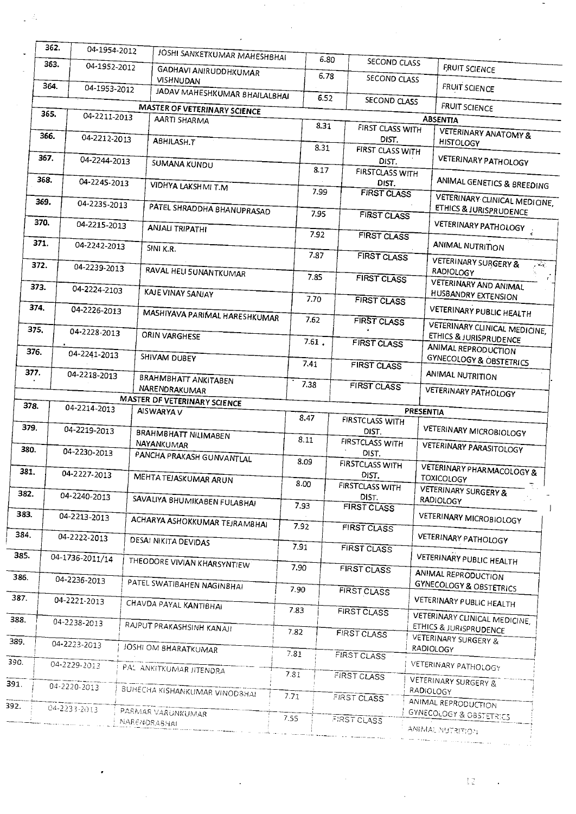|                      | 362.                 | 04-1954-2012 |                                           |       |      |                                 |           |                                                                  |
|----------------------|----------------------|--------------|-------------------------------------------|-------|------|---------------------------------|-----------|------------------------------------------------------------------|
|                      | 363.                 | 04-1952-2012 | JOSHI SANKETKUMAR MAHESHBHAI              |       | 6.80 | SECOND CLASS                    |           | FRUIT SCIENCE                                                    |
| 364.<br>04-1953-2012 |                      |              | GADHAVI ANIRUDDHKUMAR<br><b>VISHNUDAN</b> |       | 6.78 | SECOND CLASS                    |           | <b>FRUIT SCIENCE</b>                                             |
|                      |                      |              | JADAV MAHESHKUMAR BHAILALBHAI             |       | 6.52 | SECOND CLASS                    |           |                                                                  |
|                      | 365.<br>04-2211-2013 |              | MASTER OF VETERINARY SCIENCE              |       |      |                                 |           | <b>FRUIT SCIENCE</b>                                             |
|                      |                      |              | AARTI SHARMA                              |       | 8.31 | FIRST CLASS WITH                |           | <b>ABSENTIA</b>                                                  |
|                      | 366.<br>04-2212-2013 |              | ABHILASH.T                                |       | 8.31 | DIST.<br>FIRST CLASS WITH       |           | <b>VETERINARY ANATOMY &amp;</b><br><b>HISTOLOGY</b>              |
|                      | 367.<br>04-2244-2013 |              | <b>SUMANA KUNDU</b>                       | 8.17  |      | DIST.                           |           | <b>VETERINARY PATHOLOGY</b>                                      |
|                      | 368.<br>04-2245-2013 |              | VIDHYA LAKSHMI T.M                        |       |      | <b>FIRSTCLASS WITH</b><br>DIST. |           | ANIMAL GENETICS & BREEDING                                       |
|                      | 369.<br>04-2235-2013 |              | PATEL SHRADDHA BHANUPRASAD                | 7.99  |      | <b>FIRST CLASS</b>              |           | VETERINARY CLINICAL MEDICINE,<br>ETHICS & JURISPRUDENCE          |
|                      | 370.<br>04-2215-2013 |              | <b>ANJALI TRIPATHI</b>                    | 7.95  |      | <b>FIRST CLASS</b>              |           | VETERINARY PATHOLOGY                                             |
|                      | 371.<br>04-2242-2013 |              | SINI K.R.                                 | 7.92  |      | <b>FIRST CLASS</b>              |           | <b>ANIMAL NUTRITION</b>                                          |
|                      | 372.<br>04-2239-2013 |              |                                           | 7.87  |      | FIRST CLASS                     |           | <b>VETERINARY SURGERY &amp;</b><br>$\mathcal{L}_{\text{eff}}$ .  |
| 373.                 | 04-2224-2103         |              | RAVAL HELI SUNANTKUMAR                    | 7.85  |      | <b>FIRST CLASS</b>              |           | <b>RADIOLOGY</b><br>VETERINARY AND ANIMAL                        |
| 374.                 | 04-2226-2013         |              | <b>KAJE VINAY SANJAY</b>                  | 7.70  |      | <b>FIRST CLASS</b>              |           | HUSBANDRY EXTENSION                                              |
| 375.                 |                      |              | MASHIYAVA PARIMAL HARESHKUMAR             | 7.62  |      | <b>FIRST CLASS</b>              |           | <b>VETERINARY PUBLIC HEALTH</b><br>VETERINARY CLINICAL MEDICINE, |
|                      | 04-2228-2013         |              | ORIN VARGHESE                             | 7.61. |      | <b>FIRST CLASS</b>              |           | ETHICS & JURISPRUDENCE<br>ANIMAL REPRODUCTION                    |
| 376.                 | 04-2241-2013         |              | SHIVAM DUBEY                              | 7.41  |      | <b>FIRST CLASS</b>              |           | <b>GYNECOLOGY &amp; OBSTETRICS</b>                               |
| 377.                 | 04-2218-2013         |              | BRAHMBHATT ANKITABEN<br>NARENDRAKUMAR     | 7.38  |      | <b>FIRST CLASS</b>              |           | ANIMAL NUTRITION                                                 |
|                      |                      |              | MASTER DF VETERINARY SCIENCE              |       |      |                                 |           | <b>VETERINARY PATHOLOGY</b>                                      |
| 378.                 | 04-2214-2013         |              | AISWARYA V                                |       |      |                                 | PRESENTIA |                                                                  |
| 379.                 | 04-2219-2013         |              | BRAHMBHATT NILIMABEN                      | 8.47  |      | <b>FIRSTCLASS WITH</b><br>DIST. |           | <b>VETERINARY MICROBIOLOGY</b>                                   |
| 380.                 | 04-2230-2013         |              | NAYANKUMAR<br>PANCHA PRAKASH GUNVANTLAL   | 8.11  |      | <b>FIRSTCLASS WITH</b><br>DIST. |           | <b>VETERINARY PARASITOLOGY</b>                                   |
| 381.                 | 04-2227-2013         |              |                                           | 8.09  |      | <b>FIRSTCLASS WITH</b><br>DIST. |           | <b>VETERINARY PHARMACOLOGY &amp;</b>                             |
| 382.                 | 04-2240-2013         |              | MEHTA TEJASKUMAR ARUN                     | 8.00  |      | <b>FIRSTCLASS WITH</b>          |           | <b>TOXICOLOGY</b><br><b>VETERINARY SURGERY &amp;</b>             |
| 383.                 |                      |              | SAVALIYA BHUMIKABEN FULABHAI              | 7.93  |      | DIST.<br><b>FIRST CLASS</b>     |           | RADIOLOGY                                                        |
| 384.                 | 04-2213-2013         |              | ACHARYA ASHOKKUMAR TEJRAMBHAI             | 7.92  |      | <b>FIRST CLASS</b>              |           | <b>VETERINARY MICROBIOLOGY</b>                                   |
| 385.                 | 04-2222-2013         |              | <b>DESAI NIKITA DEVIDAS</b>               | 7.91  |      | <b>FIRST CLASS</b>              |           | <b>VETERINARY PATHOLOGY</b>                                      |
|                      | 04-1736-2011/14      |              | THEODORE VIVIAN KHARSYNTIEW               | 7.90  |      | FIRST CLASS                     |           | VETERINARY PUBLIC HEALTH<br>ANIMAL REPRODUCTION                  |
| 386.                 | 04-2236-2013         |              | PATEL SWATIBAHEN NAGINBHAI                | 7.90  |      | <b>FIRST CLASS</b>              |           | <b>GYNECOLOGY &amp; OBSTETRICS</b>                               |
| 387.                 | 04-2221-2013         |              | CHAVDA PAYAL KANTIBHAI                    | 7.83  |      | <b>FIRST CLASS</b>              |           | VETERINARY PUBLIC HEALTH                                         |
| 388.                 | 04-2238-2013         |              | RAJPUT PRAKASHSINH KANAJI                 | 7.82  |      | <b>FIRST CLASS</b>              |           | VETERINARY CLINICAL MEDICINE,<br>ETHICS & JURISPRUDENCE          |
| 389.                 | 04-2223-2013         |              | JOSHI OM BHARATKUMAR                      | 7.81  |      |                                 |           | VETERINARY SURGERY &<br>RADIOLOGY                                |
| 390.                 | 04-2229-2013         |              | PAL ANKITKUMAR JITENDRA                   | 7.81  |      | FIRST CLASS                     |           | VETERINARY PATHOLOGY                                             |
| 391.                 | 04-2220-2013         |              | <b>BUHECHA KISHANKUMAR VINODBHAI</b>      |       |      | FIRST CLASS                     | RADIOLOGY | VETERINARY SURGERY &                                             |
| 392.                 | 04-2233-2013         |              | PARMAR VARUNKUMAR                         | 7.71  |      | FIRST CLASS                     |           | ANIMAL REPRODUCTION<br><b>GYNECOLOGY &amp; OBSTETRICS</b>        |
|                      |                      |              | <b>NARENDRABHAI</b>                       | 7.55  |      | FIRST CLASS                     |           | ANIMAL NUTRITION                                                 |

 $\sim$ 

 $\frac{1}{2}$ 

 $\hat{\vec{A}}_1$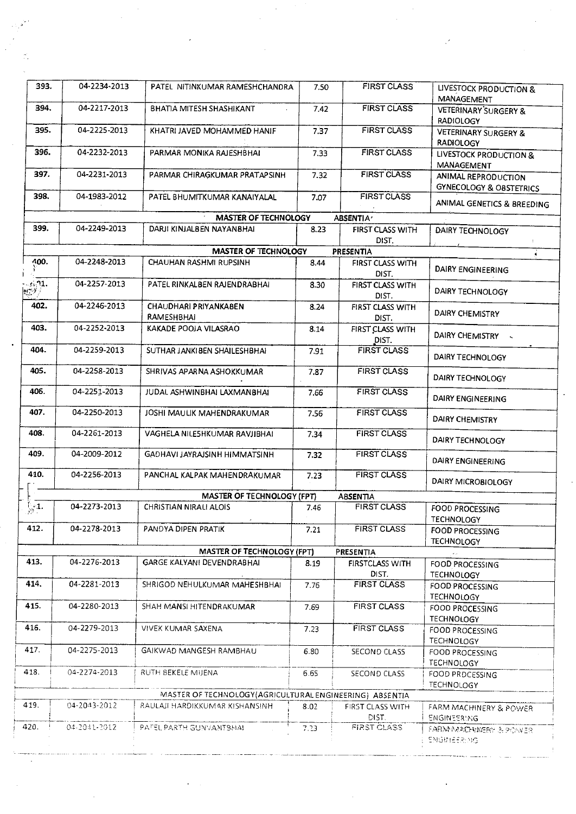| 393.                                                      | 04-2234-2013                 | PATEL NITINKUMAR RAMESHCHANDRA                              | 7.50 | <b>FIRST CLASS</b>                       | LIVESTOCK PRODUCTION &<br>MANAGEMENT                      |  |  |
|-----------------------------------------------------------|------------------------------|-------------------------------------------------------------|------|------------------------------------------|-----------------------------------------------------------|--|--|
| 394.                                                      | 04-2217-2013                 | BHATIA MITESH SHASHIKANT                                    | 7.42 | <b>FIRST CLASS</b>                       | <b>VETERINARY SURGERY &amp;</b><br><b>RADIOLOGY</b>       |  |  |
| 395.                                                      | 04-2225-2013                 | KHATRI JAVED MOHAMMED HANIF                                 | 7.37 | <b>FIRST CLASS</b>                       | <b>VETERINARY SURGERY &amp;</b><br><b>RADIOLOGY</b>       |  |  |
| 396.                                                      | 04-2232-2013                 | PARMAR MONIKA RAJESHBHAI                                    | 7.33 | <b>FIRST CLASS</b>                       | LIVESTOCK PRODUCTION &<br>MANAGEMENT                      |  |  |
| 397.                                                      | 04-2231-2013                 | PARMAR CHIRAGKUMAR PRATAPSINH                               | 7.32 | <b>FIRST CLASS</b>                       | ANIMAL REPRODUCTION<br><b>GYNECOLOGY &amp; OBSTETRICS</b> |  |  |
| 398.                                                      | 04-1983-2012                 | PATEL BHUMITKUMAR KANAIYALAL                                | 7.07 | <b>FIRST CLASS</b>                       | ANIMAL GENETICS & BREEDING                                |  |  |
|                                                           |                              | <b>MASTER OF TECHNOLOGY</b>                                 |      | ABSENTIA <sup>,</sup>                    |                                                           |  |  |
| 399.                                                      | 04-2249-2013                 | DARJI KINJALBEN NAYANBHAI                                   | 8.23 | FIRST CLASS WITH<br>DIST.                | DAIRY TECHNOLOGY                                          |  |  |
|                                                           |                              | <b>MASTER OF TECHNOLOGY</b>                                 |      | <b>PRESENTIA</b>                         |                                                           |  |  |
| 400.                                                      | 04-2248-2013                 | CHAUHAN RASHMI RUPSINH                                      | 8.44 | FIRST CLASS WITH<br>DIST.                | DAIRY ENGINEERING                                         |  |  |
| $\cdot$ sin $\mathfrak{A}$ .<br>$\mathbb{R}^{n \times n}$ | 04-2257-2013                 | PATEL RINKALBEN RAJENDRABHAI                                | 8.30 | FIRST CLASS WITH<br>DIST.                | DAIRY TECHNOLOGY                                          |  |  |
| 402.                                                      | 04-2246-2013                 | CHAUDHARI PRIYANKABEN<br>RAMESHBHAI                         | 8.24 | FIRST CLASS WITH<br>DIST.                | DAIRY CHEMISTRY                                           |  |  |
| 403.                                                      | 04-2252-2013                 | KAKADE POOJA VILASRAO                                       | 8.14 | FIRST CLASS WITH<br>DIST.                | DAIRY CHEMISTRY                                           |  |  |
| 404.                                                      | 04-2259-2013                 | SUTHAR JANKIBEN SHAILESHBHAI                                | 7.91 | <b>FIRST CLASS</b>                       | DAIRY TECHNOLOGY                                          |  |  |
| 405.                                                      | 04-2258-2013                 | SHRIVAS APARNA ASHOKKUMAR                                   | 7.87 | <b>FIRST CLASS</b>                       | DAIRY TECHNOLOGY                                          |  |  |
| 406.                                                      | 04-2251-2013                 | JUDAL ASHWINBHAI LAXMANBHAI                                 | 7.66 | <b>FIRST CLASS</b>                       | <b>DAIRY ENGINEERING</b>                                  |  |  |
| 407.                                                      | 04-2250-2013                 | JOSHI MAULIK MAHENDRAKUMAR                                  | 7.56 | <b>FIRST CLASS</b>                       | <b>DAIRY CHEMISTRY</b>                                    |  |  |
| 408.                                                      | 04-2261-2013                 | VAGHELA NILESHKUMAR RAVJIBHAI                               | 7.34 | <b>FIRST CLASS</b>                       | DAIRY TECHNOLOGY                                          |  |  |
| 409.<br>410.                                              | 04-2009-2012<br>04-2256-2013 | GADHAVI JAYRAJSINH HIMMATSINH                               | 7.32 | <b>FIRST CLASS</b><br><b>FIRST CLASS</b> | DAIRY ENGINEERING                                         |  |  |
|                                                           |                              | PANCHAL KALPAK MAHENDRAKUMAR                                | 7.23 |                                          | DAIRY MICROBIOLOGY                                        |  |  |
| $\mathbb{R}^4$                                            | 04-2273-2013                 | MASTER OF TECHNOLOGY (FPT)<br><b>CHRISTIAN NIRALI ALOIS</b> |      | <b>ABSENTIA</b><br><b>FIRST CLASS</b>    |                                                           |  |  |
|                                                           |                              |                                                             | 7.46 |                                          | FOOD PROCESSING<br><b>TECHNOLOGY</b>                      |  |  |
| 412.                                                      | 04-2278-2013                 | PANDYA DIPEN PRATIK                                         | 7.21 | <b>FIRST CLASS</b>                       | <b>FOOD PROCESSING</b><br><b>TECHNOLOGY</b>               |  |  |
| <b>MASTER OF TECHNOLOGY (FPT)</b><br>PRESENTIA            |                              |                                                             |      |                                          |                                                           |  |  |
| 413.                                                      | 04-2276-2013                 | <b>GARGE KALYANI DEVENDRABHAI</b>                           | 8.19 | <b>FIRSTCLASS WITH</b><br>DIST.          | FOOD PROCESSING<br><b>TECHNOLOGY</b>                      |  |  |
| 414.                                                      | 04-2281-2013                 | SHRIGOD NEHULKUMAR MAHESHBHAI                               | 7.76 | <b>FIRST CLASS</b>                       | FOOD PROCESSING<br><b>TECHNOLOGY</b>                      |  |  |
| 415.                                                      | 04-2280-2013                 | SHAH MANSI HITENDRAKUMAR                                    | 7.69 | <b>FIRST CLASS</b>                       | FOOD PROCESSING<br><b>TECHNOLOGY</b>                      |  |  |
| 416.                                                      | 04-2279-2013                 | VIVEK KUMAR SAXENA                                          | 7.23 | FIRST CLASS                              | FOOD PROCESSING<br><b>TECHNOLOGY</b>                      |  |  |
| 417.                                                      | 04-2275-2013                 | GAIKWAD MANGESH RAMBHAU                                     | 6.80 | SECOND CLASS                             | FOOD PROCESSING<br>TECHNOLOGY                             |  |  |
| 418.                                                      | 04-2274-2013                 | RUTH BEKELE MIJENA                                          | 6.65 | SECOND CLASS                             | FOOD PRDCESSING<br><b>TECHNOLOGY</b>                      |  |  |
|                                                           |                              | MASTER OF TECHNOLOGY (AGRICULTURAL ENGINEERING) ABSENTIA    |      |                                          |                                                           |  |  |
| 419.                                                      | 04-2043-2012                 | RAULAJI HARDIKKUMAR KISHANSINH                              | 8.02 | FIRST CLASS WITH<br>DIST.                | FARM MACHINERY & POWER<br><b>ENGINEERING</b>              |  |  |
| 420.                                                      | 04-2041-2012                 | PATEL PARTH GUNVANTSHAL                                     | 7.23 | FIRST CLASS                              | FARM MACHARERY & POWER<br><b>ENGINEER: NG</b>             |  |  |

I-

 $\bar{z}$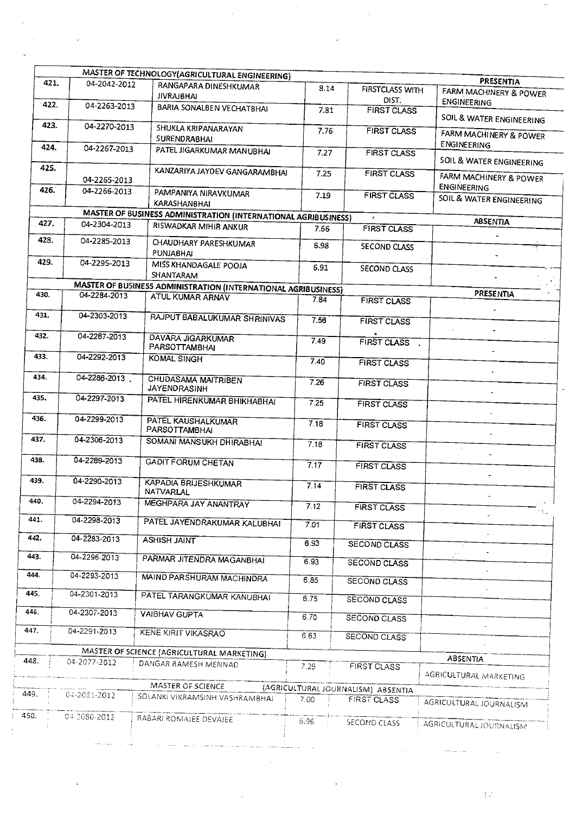|              |                              | MASTER OF TECHNOLOGY(AGRICULTURAL ENGINEERING)                 |              |                                    |                                              |
|--------------|------------------------------|----------------------------------------------------------------|--------------|------------------------------------|----------------------------------------------|
| 421.         | 04-2042-2012                 | RANGAPARA DINESHKUMAR                                          | 8.14         | <b>FIRSTCLASS WITH</b>             | PRESENTIA                                    |
| 422.         | 04-2263-2013                 | <b>JIVRAJBHAI</b><br><b>BARIA SONALBEN VECHATBHAI</b>          |              | DIST.                              | FARM MACHINERY & POWER<br><b>ENGINEERING</b> |
| 423.         | 04-2270-2013                 |                                                                | 7.81         | <b>FIRST CLASS</b>                 | SOIL & WATER ENGINEERING                     |
| 424.         | 04-2267-2013                 | SHUKLA KRIPANARAYAN<br>SURENDRABHAI.                           | 7.76         | FIRST CLASS                        | FARM MACHINERY & POWER<br>ENGINEERING        |
| 425.         |                              | PATEL JIGARKUMAR MANUBHAI                                      | 7.27         | <b>FIRST CLASS</b>                 | SOIL & WATER ENGINEERING                     |
|              | 04-2265-2013                 | KANZARIYA JAYDEV GANGARAMBHAI                                  | 7.25         | <b>FIRST CLASS</b>                 | FARM MACHINERY & POWER<br><b>ENGINEERING</b> |
| 426.         | 04-2266-2013                 | PAMPANIYA NIRAVKUMAR<br><b>KARASHANBHAI</b>                    | 7.19         | <b>FIRST CLASS</b>                 | SOIL & WATER ENGINEERING                     |
|              |                              | MASTER OF BUSINESS ADMINISTRATION (INTERNATIONAL AGRIBUSINESS) |              |                                    |                                              |
| 427.         | 04-2304-2013                 | RISWADKAR MIHIR ANKUR                                          | 7.66         | <b>FIRST CLASS</b>                 | <b>ABSENTIA</b>                              |
| 428.         | 04-2285-2013                 | CHAUDHARY PARESHKUMAR<br><b>PUNJABHAI</b>                      | 6.98         | SECOND CLASS                       |                                              |
| 429.         | 04-2295-2013                 | MISS KHANDAGALE POOJA<br>SHANTARAM                             | 6.91         | SECOND CLASS                       |                                              |
|              |                              | MASTER OF BUSINESS ADMINISTRATION (INTERNATIONAL AGRIBUSINESS) |              |                                    |                                              |
| 430.         | 04-2284-2013                 | <b>ATUL KUMAR ARNAV</b>                                        | 7.84         |                                    | PRESENTIA                                    |
| 431.         | 04-2303-2013                 | RAJPUT BABALUKUMAR SHRINIVAS                                   |              | <b>FIRST CLASS</b>                 |                                              |
| 432.         | 04-2287-2013                 | DAVARA JIGARKUMAR                                              | 7.56         | <b>FIRST CLASS</b>                 |                                              |
| 433.         | 04-2292-2013                 | PARSOTTAMBHAI<br><b>KOMAL SINGH</b>                            | 7.49         | FIRST CLASS .                      |                                              |
| 434.         | 04-2286-2013                 |                                                                | 7.40         | <b>FIRST CLASS</b>                 |                                              |
|              |                              | <b>CHUDASAMA MAITRIBEN</b><br><b>JAYENDRASINH</b>              | 7.26         | <b>FIRST CLASS</b>                 |                                              |
| 435.         | 04-2297-2013                 | PATEL HIRENKUMAR BHIKHABHAI                                    | 7.25         | <b>FIRST CLASS</b>                 |                                              |
| 436.         | 04-2299-2013                 | PATEL KAUSHALKUMAR<br>PARSOTTAMBHAI                            | 7.18         | <b>FIRST CLASS</b>                 |                                              |
| 437.         | 04-2306-2013                 | <b>SOMANI MANSUKH DHIRABHAI</b>                                | 7.18         | <b>FIRST CLASS</b>                 |                                              |
| 438.         | 04-2289-2013                 | <b>GADIT FORUM CHETAN</b>                                      | 7.17         | <b>FIRST CLASS</b>                 |                                              |
| 439.         | 04-2290-2013                 | <b>KAPADIA BRIJESHKUMAR</b><br>NATVARLAL                       | 7.14         | <b>FIRST CLASS</b>                 |                                              |
| 440.         | 04-2294-2013                 | MEGHPARA JAY ANANTRAY                                          | 7.12         | <b>FIRST CLASS</b>                 |                                              |
| 441.<br>442. | 04-2298-2013<br>04-2283-2013 | PATEL JAYENDRAKUMAR KALUBHAI                                   | 7.01         | <b>FIRST CLASS</b>                 |                                              |
| 443.         | 04-2296-2013                 | <b>ASHISH JAINT</b>                                            | 6.93         | <b>SECOND CLASS</b>                |                                              |
| 444.         | 04-2293-2013                 | PARMAR JITENDRA MAGANBHAI                                      | 6.93         | <b>SECOND CLASS</b>                |                                              |
| 445.         | 04-2301-2013                 | MAIND PARSHURAM MACHINDRA<br>PATEL TARANGKUMAR KANUBHAI        | 6.85         | SECOND CLASS                       |                                              |
| 446.         | 04-2307-2013                 | <b>VAIBHAV GUPTA</b>                                           | 6.75         | SECOND CLASS                       |                                              |
| 447.         | 04-2291-2013                 | KENE KIRIT VIKASRAO                                            | 6.70<br>6.63 | SECOND CLASS                       |                                              |
|              |                              |                                                                |              | SECOND CLASS                       |                                              |
|              |                              | MASTER OF SCIENCE (AGRICULTURAL MARKETING)                     |              |                                    |                                              |
| 448.         | 04-2077-2012                 | DANGAR RAMESH MENNAD                                           | 7.29         | <b>FIRST CLASS</b>                 | ABSENTIA<br>AGRICULTURAL MARKETING           |
| 449.         | 04-2081-2012                 | MASTER OF SCIENCE                                              |              | (AGRICULTURAL JOURNALISM) ABSENTIA |                                              |
|              |                              | SOLANKI VIKRAMSINH VASHRAMBHAI                                 | 7.00         | <b>FIRST CLASS</b>                 | AGRICULTURAL JOURNALISM                      |
| 45C.,        | 04-2080-2012                 | RABARI ROMAJEE DEVAJEE                                         | 6.96         | SECOND CLASS                       | AGRICULTURAL JOURNALISM                      |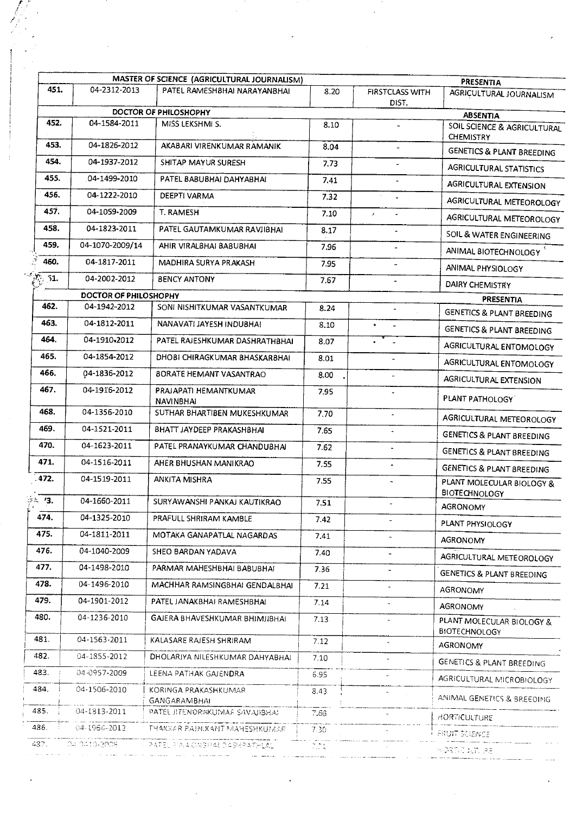|                     |                       | MASTER OF SCIENCE (AGRICULTURAL JOURNALISM) |                                   |                                 |                                                   |
|---------------------|-----------------------|---------------------------------------------|-----------------------------------|---------------------------------|---------------------------------------------------|
| 451.                | 04-2312-2013          | PATEL RAMESHBHAI NARAYANBHAI                | 8.20                              | <b>FIRSTCLASS WITH</b><br>DIST. | PRESENTIA<br>AGRICULTURAL JOURNALISM              |
|                     |                       | DOCTOR OF PHILOSHOPHY                       |                                   |                                 | <b>ABSENTIA</b>                                   |
| 452.                | 04-1584-2011          | MISS LEKSHMI S.                             | 8.10                              |                                 | SOIL SCIENCE & AGRICULTURAL<br><b>CHEMISTRY</b>   |
| 453.                | 04-1826-2012          | AKABARI VIRENKUMAR RAMANIK                  | 8.04                              | $\omega^*$                      | <b>GENETICS &amp; PLANT BREEDING</b>              |
| 454.                | 04-1937-2012          | SHITAP MAYUR SURESH                         | 7.73                              |                                 | <b>AGRICULTURAL STATISTICS</b>                    |
| 455.                | 04-1499-2010          | PATEL BABUBHAI DAHYABHAI                    | 7.41                              |                                 | AGRICULTURAL EXTENSION                            |
| 456.                | 04-1222-2010          | DEEPTI VARMA                                | 7.32                              | $\overline{a}$                  | AGRICULTURAL METEOROLOGY                          |
| 457.                | 04-1059-2009          | T. RAMESH                                   | 7.10                              | $\epsilon$<br>$\blacksquare$    | AGRICULTURAL METEOROLOGY                          |
| 458.                | 04-1823-2011          | PATEL GAUTAMKUMAR RAVJIBHAI                 | 8.17                              |                                 | SOIL & WATER ENGINEERING                          |
| 459.                | 04-1070-2009/14       | AHIR VIRALBHAI BABUBHAI                     | 7.96                              |                                 | ANIMAL BIOTECHNOLOGY <sup>5</sup>                 |
| 460.                | 04-1817-2011          | MADHIRA SURYA PRAKASH                       | 7.95                              |                                 | ANIMAL PHYSIOLOGY                                 |
| $\mathcal{P}_i$ 51. | 04-2002-2012          | <b>BENCY ANTONY</b>                         | 7.67                              |                                 | <b>DAIRY CHEMISTRY</b>                            |
|                     | DOCTOR OF PHILOSHOPHY |                                             |                                   |                                 | PRESENTIA                                         |
| 462.                | 04-1942-2012          | SONI NISHITKUMAR VASANTKUMAR                | 8.24                              |                                 | <b>GENETICS &amp; PLANT BREEDING</b>              |
| 463.                | 04-1812-2011          | NANAVATI JAYESH INDUBHAI                    | 8.10                              | $\bullet$ .<br>$\sim$           | <b>GENETICS &amp; PLANT BREEDING</b>              |
| 464.                | 04-1910-2012          | PATEL RAJESHKUMAR DASHRATHBHAI              | 8.07                              | $\bullet$<br>$\omega$           | AGRICULTURAL ENTOMOLOGY                           |
| 465.                | 04-1854-2012          | DHOBI CHIRAGKUMAR BHASKARBHAI               | 8.01                              | $\tilde{\phantom{a}}$           | AGRICULTURAL ENTOMOLOGY                           |
| 466.                | 04-1836-2012          | BORATE HEMANT VASANTRAO                     | 8.00                              | $\overline{\phantom{a}}$        | AGRICULTURAL EXTENSION                            |
| 467.                | 04-1916-2012          | PRAJAPATI HEMANTKUMAR<br><b>NAVINBHAI</b>   | 7.95                              |                                 | PLANT PATHOLOGY                                   |
| 468.                | 04-1356-2010          | SUTHAR BHARTIBEN MUKESHKUMAR                | 7.70                              |                                 | AGRICULTURAL METEOROLOGY                          |
| 469.                | 04-1521-2011          | BHATT JAYDEEP PRAKASHBHAI                   | 7.65                              |                                 | <b>GENETICS &amp; PLANT BREEDING</b>              |
| 470.                | 04-1623-2011          | PATEL PRANAYKUMAR CHANDUBHAI                | 7.62                              |                                 | <b>GENETICS &amp; PLANT BREEDING</b>              |
| 471.                | 04-1516-2011          | AHER BHUSHAN MANIKRAO                       | 7.55                              | $\blacksquare$                  | <b>GENETICS &amp; PLANT BREEDING</b>              |
| 472.                | 04-1519-2011          | <b>ANKITA MISHRA</b>                        | 7.55                              | ÷                               | PLANT MOLECULAR BIOLOGY &<br><b>BIOTECHNOLOGY</b> |
| 24 13.              | 04-1660-2011          | SURYAWANSHI PANKAJ KAUTIKRAO                | 7.51                              |                                 | AGRONOMY                                          |
| 474.                | 04-1325-2010          | PRAFULL SHRIRAM KAMBLE                      | 7.42                              |                                 | PLANT PHYSIOLOGY                                  |
| 475.                | 04-1811-2011          | MOTAKA GANAPATLAL NAGARDAS                  | 7.41                              |                                 | AGRONOMY                                          |
| 476.                | 04-1040-2009          | SHEO BARDAN YADAVA                          | 7.40                              |                                 | AGRICULTURAL METEOROLOGY                          |
| 477.                | 04-1498-2010          | PARMAR MAHESHBHAI BABUBHAI                  | 7.36                              |                                 | <b>GENETICS &amp; PLANT BREEDING</b>              |
| 478.                | 04-1496-2010          | MACHHAR RAMSINGBHAI GENDALBHAI              | 7.21                              |                                 | AGRONOMY                                          |
| 479.                | 04-1901-2012          | PATEL JANAKBHAI RAMESHBHAI                  | 7.14                              | $\blacksquare$                  | <b>AGRONOMY</b>                                   |
| 480.                | 04-1236-2010          | GAJERA BHAVESHKUMAR BHIMJIBHAI              | 7.13                              |                                 | PLANT MOLECULAR BIOLOGY &<br><b>BIOTECHNOLOGY</b> |
| 481.                | 04-1563-2011          | KALASARE RAJESH SHRIRAM                     | 7.12                              |                                 | <b>AGRONOMY</b>                                   |
| 482.                | 04-1855-2012          | DHOLARIYA NILESHKUMAR DAHYABHAI             | 7.10                              |                                 | GENETICS & PLANT BREEDING                         |
| 483.                | 04-0957-2009          | LEENA PATHAK GAJENDRA                       | 6.95                              |                                 | AGRICULTURAL MICROBIOLOGY                         |
| 484.                | 04-1506-2010          | KORINGA PRAKASHKUMAR<br>GANGARAMBHAI        | 8.43                              |                                 | ANIMAL GENETICS & BREEDING                        |
| 485.                | 04-1813-2011          | PATEL IITENDRAKUMAA SAVAJIBHAJ              | 7.68                              |                                 | HORTICULTURE                                      |
| 486.                | 04-1964-2012          | THAKKAR PAINIKANT MAHESHKUMAAR              | 7.30                              |                                 | FRUIT SCIENCE                                     |
| 437.                | 04.0410-3008.         | PATEL PINAKINGHALOASHRATHLAL                | $\mathcal{L} \subset \mathcal{L}$ |                                 | <b>WORTHD WITCHE</b>                              |